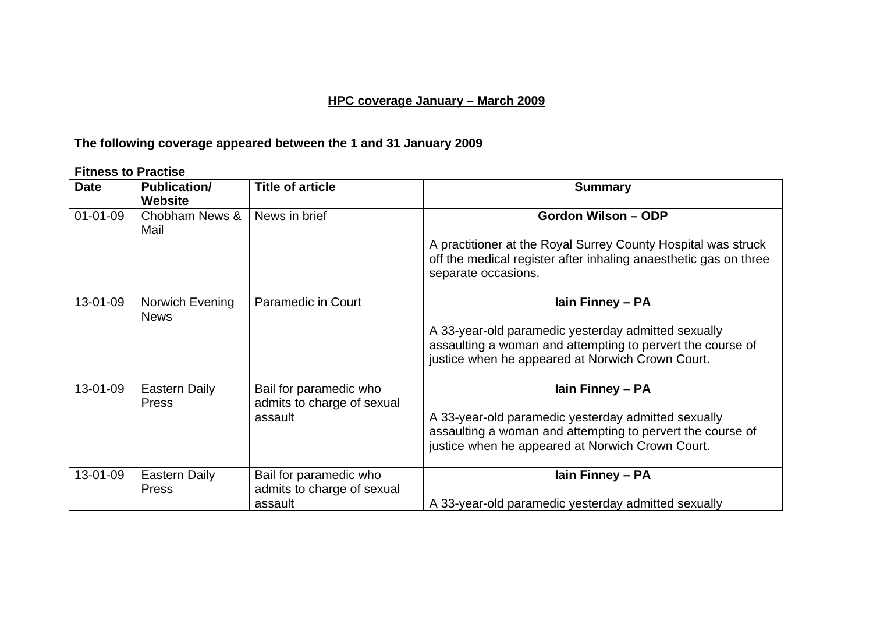### **HPC coverage January – March 2009**

## **The following coverage appeared between the 1 and 31 January 2009**

#### **Fitness to Practise**

| <b>Date</b>    | <b>Publication/</b><br><b>Website</b> | <b>Title of article</b>                              | <b>Summary</b>                                                                                                                                                        |
|----------------|---------------------------------------|------------------------------------------------------|-----------------------------------------------------------------------------------------------------------------------------------------------------------------------|
| $01 - 01 - 09$ | Chobham News &<br>Mail                | News in brief                                        | Gordon Wilson - ODP                                                                                                                                                   |
|                |                                       |                                                      | A practitioner at the Royal Surrey County Hospital was struck<br>off the medical register after inhaling anaesthetic gas on three<br>separate occasions.              |
| 13-01-09       | Norwich Evening<br><b>News</b>        | <b>Paramedic in Court</b>                            | lain Finney - PA                                                                                                                                                      |
|                |                                       |                                                      | A 33-year-old paramedic yesterday admitted sexually<br>assaulting a woman and attempting to pervert the course of<br>justice when he appeared at Norwich Crown Court. |
| 13-01-09       | Eastern Daily<br><b>Press</b>         | Bail for paramedic who<br>admits to charge of sexual | lain Finney - PA                                                                                                                                                      |
|                |                                       | assault                                              | A 33-year-old paramedic yesterday admitted sexually                                                                                                                   |
|                |                                       |                                                      | assaulting a woman and attempting to pervert the course of                                                                                                            |
|                |                                       |                                                      | justice when he appeared at Norwich Crown Court.                                                                                                                      |
| 13-01-09       | <b>Eastern Daily</b>                  | Bail for paramedic who                               | lain Finney - PA                                                                                                                                                      |
|                | <b>Press</b>                          | admits to charge of sexual                           |                                                                                                                                                                       |
|                |                                       | assault                                              | A 33-year-old paramedic yesterday admitted sexually                                                                                                                   |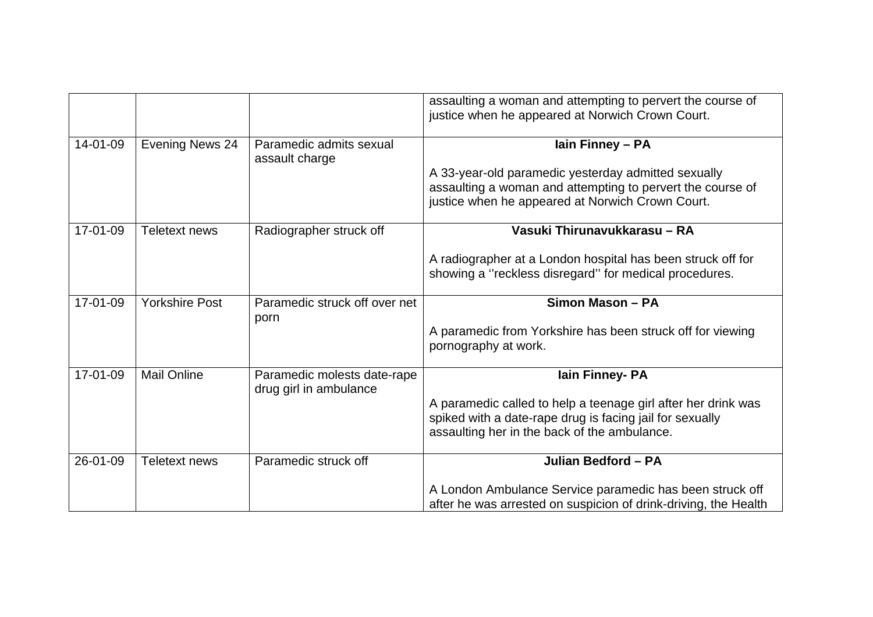|          |                       |                                                       | assaulting a woman and attempting to pervert the course of<br>justice when he appeared at Norwich Crown Court.                                                                               |
|----------|-----------------------|-------------------------------------------------------|----------------------------------------------------------------------------------------------------------------------------------------------------------------------------------------------|
| 14-01-09 | Evening News 24       | Paramedic admits sexual<br>assault charge             | lain Finney - PA<br>A 33-year-old paramedic yesterday admitted sexually<br>assaulting a woman and attempting to pervert the course of<br>justice when he appeared at Norwich Crown Court.    |
| 17-01-09 | <b>Teletext news</b>  | Radiographer struck off                               | Vasuki Thirunavukkarasu - RA<br>A radiographer at a London hospital has been struck off for<br>showing a "reckless disregard" for medical procedures.                                        |
| 17-01-09 | <b>Yorkshire Post</b> | Paramedic struck off over net<br>porn                 | Simon Mason - PA<br>A paramedic from Yorkshire has been struck off for viewing<br>pornography at work.                                                                                       |
| 17-01-09 | <b>Mail Online</b>    | Paramedic molests date-rape<br>drug girl in ambulance | lain Finney- PA<br>A paramedic called to help a teenage girl after her drink was<br>spiked with a date-rape drug is facing jail for sexually<br>assaulting her in the back of the ambulance. |
| 26-01-09 | Teletext news         | Paramedic struck off                                  | Julian Bedford - PA<br>A London Ambulance Service paramedic has been struck off<br>after he was arrested on suspicion of drink-driving, the Health                                           |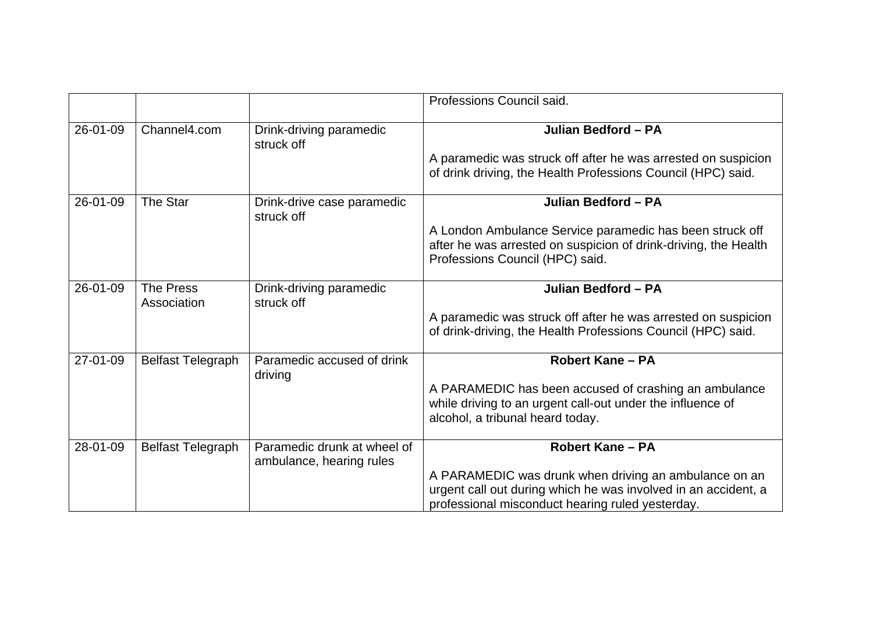|          |                          |                                                         | Professions Council said.                                                                                                                                                   |
|----------|--------------------------|---------------------------------------------------------|-----------------------------------------------------------------------------------------------------------------------------------------------------------------------------|
| 26-01-09 | Channel4.com             | Drink-driving paramedic<br>struck off                   | Julian Bedford - PA                                                                                                                                                         |
|          |                          |                                                         | A paramedic was struck off after he was arrested on suspicion<br>of drink driving, the Health Professions Council (HPC) said.                                               |
| 26-01-09 | The Star                 | Drink-drive case paramedic<br>struck off                | Julian Bedford - PA                                                                                                                                                         |
|          |                          |                                                         | A London Ambulance Service paramedic has been struck off<br>after he was arrested on suspicion of drink-driving, the Health<br>Professions Council (HPC) said.              |
| 26-01-09 | The Press<br>Association | Drink-driving paramedic<br>struck off                   | Julian Bedford - PA                                                                                                                                                         |
|          |                          |                                                         | A paramedic was struck off after he was arrested on suspicion<br>of drink-driving, the Health Professions Council (HPC) said.                                               |
| 27-01-09 | <b>Belfast Telegraph</b> | Paramedic accused of drink<br>driving                   | <b>Robert Kane - PA</b>                                                                                                                                                     |
|          |                          |                                                         | A PARAMEDIC has been accused of crashing an ambulance<br>while driving to an urgent call-out under the influence of<br>alcohol, a tribunal heard today.                     |
| 28-01-09 | <b>Belfast Telegraph</b> | Paramedic drunk at wheel of<br>ambulance, hearing rules | <b>Robert Kane - PA</b>                                                                                                                                                     |
|          |                          |                                                         | A PARAMEDIC was drunk when driving an ambulance on an<br>urgent call out during which he was involved in an accident, a<br>professional misconduct hearing ruled yesterday. |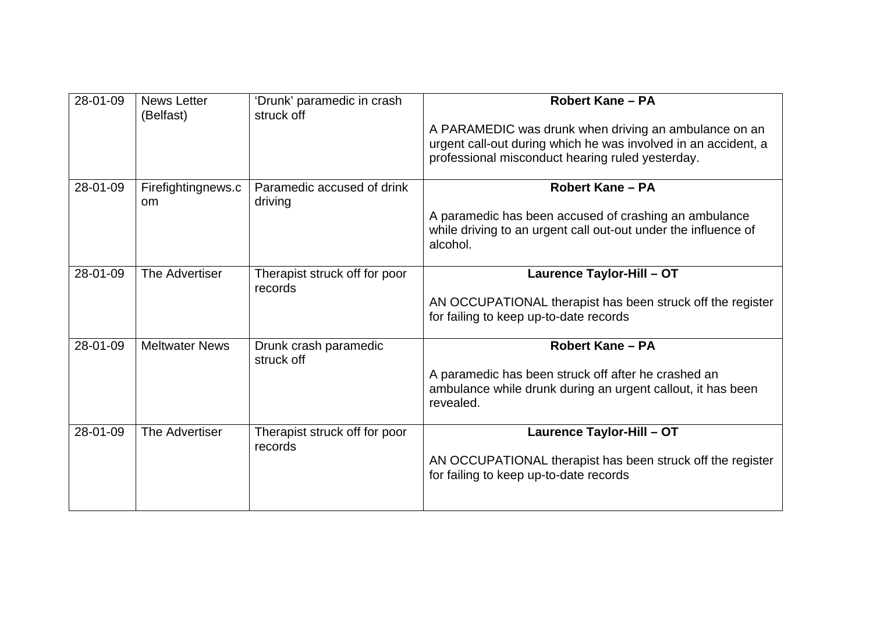| 28-01-09 | <b>News Letter</b><br>(Belfast)     | 'Drunk' paramedic in crash<br>struck off | <b>Robert Kane - PA</b>                                                                                                                                                     |
|----------|-------------------------------------|------------------------------------------|-----------------------------------------------------------------------------------------------------------------------------------------------------------------------------|
|          |                                     |                                          | A PARAMEDIC was drunk when driving an ambulance on an<br>urgent call-out during which he was involved in an accident, a<br>professional misconduct hearing ruled yesterday. |
| 28-01-09 | Firefightingnews.c<br><sub>om</sub> | Paramedic accused of drink<br>driving    | <b>Robert Kane - PA</b><br>A paramedic has been accused of crashing an ambulance<br>while driving to an urgent call out-out under the influence of<br>alcohol.              |
| 28-01-09 | The Advertiser                      | Therapist struck off for poor<br>records | Laurence Taylor-Hill - OT<br>AN OCCUPATIONAL therapist has been struck off the register<br>for failing to keep up-to-date records                                           |
| 28-01-09 | <b>Meltwater News</b>               | Drunk crash paramedic<br>struck off      | <b>Robert Kane - PA</b><br>A paramedic has been struck off after he crashed an<br>ambulance while drunk during an urgent callout, it has been<br>revealed.                  |
| 28-01-09 | The Advertiser                      | Therapist struck off for poor<br>records | Laurence Taylor-Hill - OT<br>AN OCCUPATIONAL therapist has been struck off the register<br>for failing to keep up-to-date records                                           |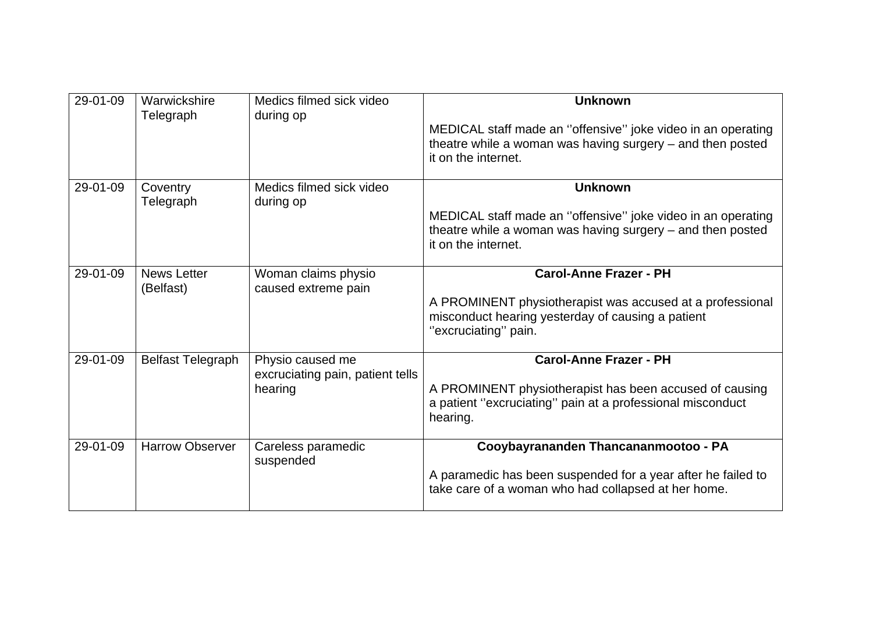| 29-01-09 | Warwickshire<br>Telegraph       | Medics filmed sick video<br>during op                           | <b>Unknown</b><br>MEDICAL staff made an "offensive" joke video in an operating<br>theatre while a woman was having surgery $-$ and then posted<br>it on the internet.   |
|----------|---------------------------------|-----------------------------------------------------------------|-------------------------------------------------------------------------------------------------------------------------------------------------------------------------|
| 29-01-09 | Coventry<br>Telegraph           | Medics filmed sick video<br>during op                           | <b>Unknown</b><br>MEDICAL staff made an "offensive" joke video in an operating<br>theatre while a woman was having surgery – and then posted<br>it on the internet.     |
| 29-01-09 | <b>News Letter</b><br>(Belfast) | Woman claims physio<br>caused extreme pain                      | <b>Carol-Anne Frazer - PH</b><br>A PROMINENT physiotherapist was accused at a professional<br>misconduct hearing yesterday of causing a patient<br>"excruciating" pain. |
| 29-01-09 | <b>Belfast Telegraph</b>        | Physio caused me<br>excruciating pain, patient tells<br>hearing | <b>Carol-Anne Frazer - PH</b><br>A PROMINENT physiotherapist has been accused of causing<br>a patient "excruciating" pain at a professional misconduct<br>hearing.      |
| 29-01-09 | <b>Harrow Observer</b>          | Careless paramedic<br>suspended                                 | Cooybayrananden Thancananmootoo - PA<br>A paramedic has been suspended for a year after he failed to<br>take care of a woman who had collapsed at her home.             |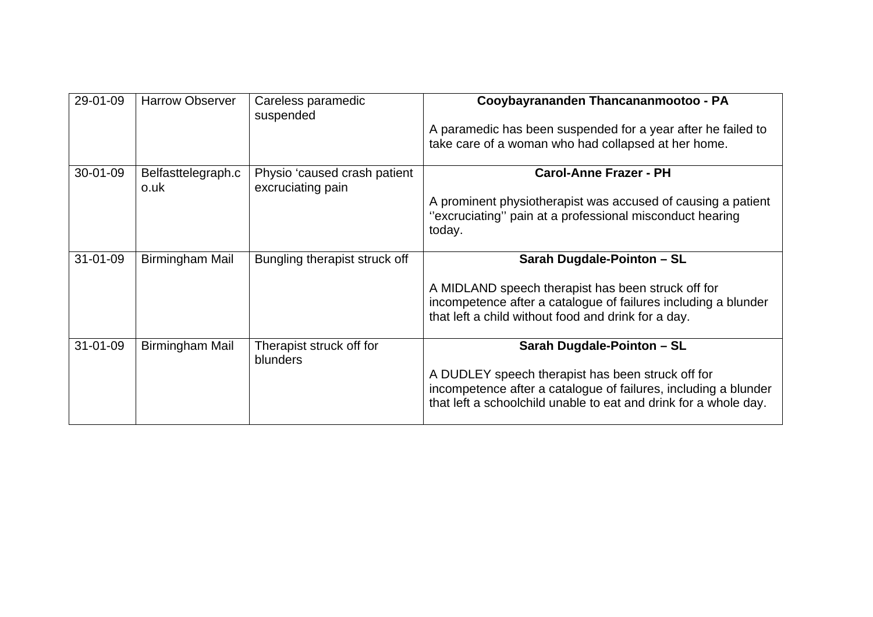| 29-01-09       | <b>Harrow Observer</b>     | Careless paramedic<br>suspended                   | Cooybayrananden Thancananmootoo - PA                                                                                                                                                     |
|----------------|----------------------------|---------------------------------------------------|------------------------------------------------------------------------------------------------------------------------------------------------------------------------------------------|
|                |                            |                                                   | A paramedic has been suspended for a year after he failed to<br>take care of a woman who had collapsed at her home.                                                                      |
| 30-01-09       | Belfasttelegraph.c<br>o.uk | Physio 'caused crash patient<br>excruciating pain | <b>Carol-Anne Frazer - PH</b>                                                                                                                                                            |
|                |                            |                                                   | A prominent physiotherapist was accused of causing a patient<br>"excruciating" pain at a professional misconduct hearing<br>today.                                                       |
| $31 - 01 - 09$ | Birmingham Mail            | Bungling therapist struck off                     | Sarah Dugdale-Pointon - SL                                                                                                                                                               |
|                |                            |                                                   | A MIDLAND speech therapist has been struck off for<br>incompetence after a catalogue of failures including a blunder<br>that left a child without food and drink for a day.              |
| $31 - 01 - 09$ | Birmingham Mail            | Therapist struck off for                          | Sarah Dugdale-Pointon - SL                                                                                                                                                               |
|                |                            | blunders                                          | A DUDLEY speech therapist has been struck off for<br>incompetence after a catalogue of failures, including a blunder<br>that left a schoolchild unable to eat and drink for a whole day. |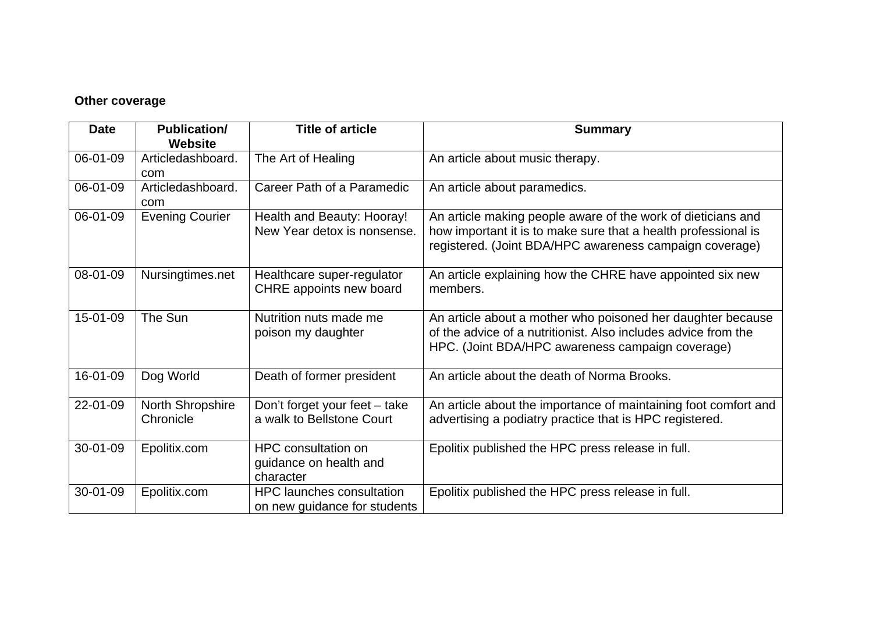#### **Other coverage**

| <b>Date</b> | <b>Publication/</b><br><b>Website</b> | <b>Title of article</b>                                           | <b>Summary</b>                                                                                                                                                                            |
|-------------|---------------------------------------|-------------------------------------------------------------------|-------------------------------------------------------------------------------------------------------------------------------------------------------------------------------------------|
| 06-01-09    | Articledashboard.<br>com              | The Art of Healing                                                | An article about music therapy.                                                                                                                                                           |
| 06-01-09    | Articledashboard.<br>com              | Career Path of a Paramedic                                        | An article about paramedics.                                                                                                                                                              |
| 06-01-09    | <b>Evening Courier</b>                | Health and Beauty: Hooray!<br>New Year detox is nonsense.         | An article making people aware of the work of dieticians and<br>how important it is to make sure that a health professional is<br>registered. (Joint BDA/HPC awareness campaign coverage) |
| 08-01-09    | Nursingtimes.net                      | Healthcare super-regulator<br>CHRE appoints new board             | An article explaining how the CHRE have appointed six new<br>members.                                                                                                                     |
| 15-01-09    | The Sun                               | Nutrition nuts made me<br>poison my daughter                      | An article about a mother who poisoned her daughter because<br>of the advice of a nutritionist. Also includes advice from the<br>HPC. (Joint BDA/HPC awareness campaign coverage)         |
| 16-01-09    | Dog World                             | Death of former president                                         | An article about the death of Norma Brooks.                                                                                                                                               |
| 22-01-09    | <b>North Shropshire</b><br>Chronicle  | Don't forget your feet - take<br>a walk to Bellstone Court        | An article about the importance of maintaining foot comfort and<br>advertising a podiatry practice that is HPC registered.                                                                |
| 30-01-09    | Epolitix.com                          | <b>HPC</b> consultation on<br>guidance on health and<br>character | Epolitix published the HPC press release in full.                                                                                                                                         |
| 30-01-09    | Epolitix.com                          | <b>HPC</b> launches consultation<br>on new guidance for students  | Epolitix published the HPC press release in full.                                                                                                                                         |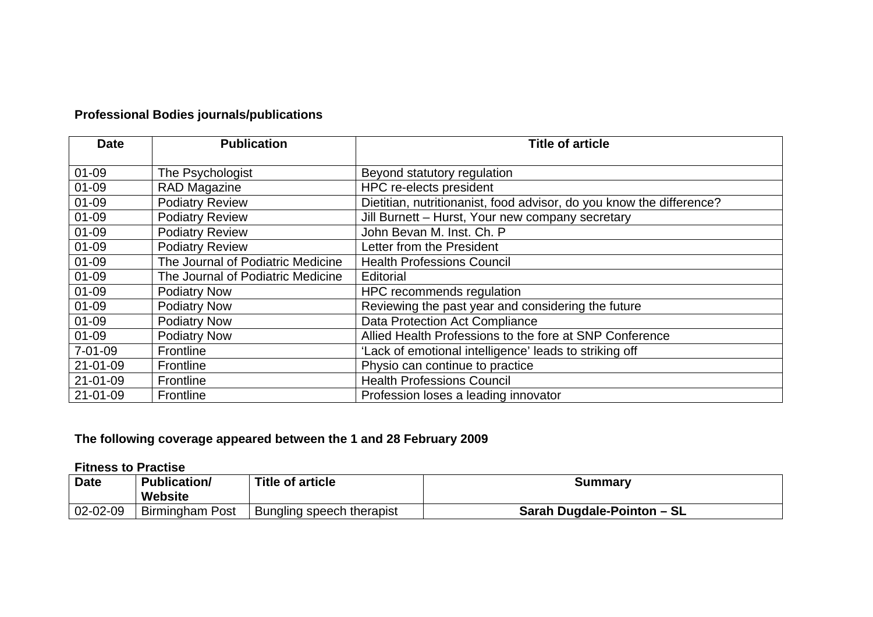## **Professional Bodies journals/publications**

| <b>Date</b>    | <b>Publication</b>                | <b>Title of article</b>                                              |
|----------------|-----------------------------------|----------------------------------------------------------------------|
| $01 - 09$      | The Psychologist                  | Beyond statutory regulation                                          |
| $01 - 09$      | RAD Magazine                      | HPC re-elects president                                              |
| $01 - 09$      | <b>Podiatry Review</b>            | Dietitian, nutritionanist, food advisor, do you know the difference? |
| $01 - 09$      | <b>Podiatry Review</b>            | Jill Burnett - Hurst, Your new company secretary                     |
| $01 - 09$      | <b>Podiatry Review</b>            | John Bevan M. Inst. Ch. P                                            |
| $01 - 09$      | <b>Podiatry Review</b>            | Letter from the President                                            |
| $01 - 09$      | The Journal of Podiatric Medicine | <b>Health Professions Council</b>                                    |
| $01 - 09$      | The Journal of Podiatric Medicine | Editorial                                                            |
| $01 - 09$      | <b>Podiatry Now</b>               | HPC recommends regulation                                            |
| 01-09          | <b>Podiatry Now</b>               | Reviewing the past year and considering the future                   |
| 01-09          | <b>Podiatry Now</b>               | Data Protection Act Compliance                                       |
| $01 - 09$      | <b>Podiatry Now</b>               | Allied Health Professions to the fore at SNP Conference              |
| $7 - 01 - 09$  | Frontline                         | 'Lack of emotional intelligence' leads to striking off               |
| $21 - 01 - 09$ | <b>Frontline</b>                  | Physio can continue to practice                                      |
| $21 - 01 - 09$ | <b>Frontline</b>                  | <b>Health Professions Council</b>                                    |
| $21 - 01 - 09$ | <b>Frontline</b>                  | Profession loses a leading innovator                                 |

## **The following coverage appeared between the 1 and 28 February 2009**

#### **Fitness to Practise**

| <b>Date</b> | <b>Publication/</b><br>Website | <b>Title of article</b>   | Summary                    |
|-------------|--------------------------------|---------------------------|----------------------------|
| 02-02-09    | <b>Birmingham Post</b>         | Bungling speech therapist | Sarah Dugdale-Pointon - SL |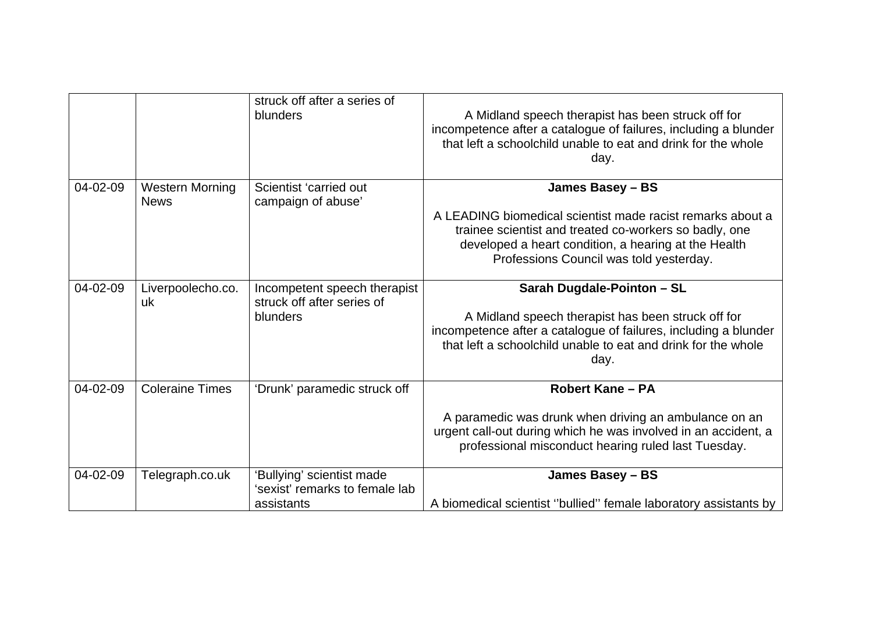|          |                                       | struck off after a series of<br>blunders                    | A Midland speech therapist has been struck off for<br>incompetence after a catalogue of failures, including a blunder<br>that left a schoolchild unable to eat and drink for the whole<br>day.                          |
|----------|---------------------------------------|-------------------------------------------------------------|-------------------------------------------------------------------------------------------------------------------------------------------------------------------------------------------------------------------------|
| 04-02-09 | <b>Western Morning</b><br><b>News</b> | Scientist 'carried out<br>campaign of abuse'                | James Basey - BS                                                                                                                                                                                                        |
|          |                                       |                                                             | A LEADING biomedical scientist made racist remarks about a<br>trainee scientist and treated co-workers so badly, one<br>developed a heart condition, a hearing at the Health<br>Professions Council was told yesterday. |
| 04-02-09 | Liverpoolecho.co.<br>uk               | Incompetent speech therapist<br>struck off after series of  | Sarah Dugdale-Pointon - SL                                                                                                                                                                                              |
|          |                                       | blunders                                                    | A Midland speech therapist has been struck off for<br>incompetence after a catalogue of failures, including a blunder<br>that left a schoolchild unable to eat and drink for the whole<br>day.                          |
| 04-02-09 | <b>Coleraine Times</b>                | 'Drunk' paramedic struck off                                | <b>Robert Kane - PA</b>                                                                                                                                                                                                 |
|          |                                       |                                                             | A paramedic was drunk when driving an ambulance on an<br>urgent call-out during which he was involved in an accident, a<br>professional misconduct hearing ruled last Tuesday.                                          |
| 04-02-09 | Telegraph.co.uk                       | 'Bullying' scientist made<br>'sexist' remarks to female lab | James Basey - BS                                                                                                                                                                                                        |
|          |                                       | assistants                                                  | A biomedical scientist "bullied" female laboratory assistants by                                                                                                                                                        |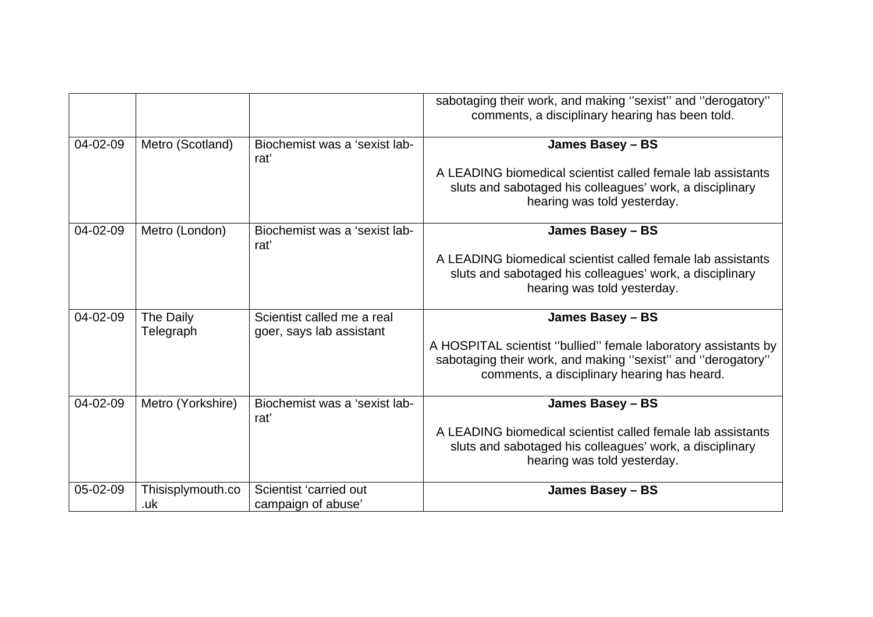|          |                          |                                                        | sabotaging their work, and making "sexist" and "derogatory"<br>comments, a disciplinary hearing has been told.                                                               |
|----------|--------------------------|--------------------------------------------------------|------------------------------------------------------------------------------------------------------------------------------------------------------------------------------|
| 04-02-09 | Metro (Scotland)         | Biochemist was a 'sexist lab-<br>rat'                  | James Basey - BS                                                                                                                                                             |
|          |                          |                                                        | A LEADING biomedical scientist called female lab assistants<br>sluts and sabotaged his colleagues' work, a disciplinary<br>hearing was told yesterday.                       |
| 04-02-09 | Metro (London)           | Biochemist was a 'sexist lab-<br>rat'                  | James Basey - BS                                                                                                                                                             |
|          |                          |                                                        | A LEADING biomedical scientist called female lab assistants<br>sluts and sabotaged his colleagues' work, a disciplinary<br>hearing was told yesterday.                       |
| 04-02-09 | The Daily<br>Telegraph   | Scientist called me a real<br>goer, says lab assistant | James Basey - BS                                                                                                                                                             |
|          |                          |                                                        | A HOSPITAL scientist "bullied" female laboratory assistants by<br>sabotaging their work, and making "sexist" and "derogatory"<br>comments, a disciplinary hearing has heard. |
| 04-02-09 | Metro (Yorkshire)        | Biochemist was a 'sexist lab-<br>rat'                  | James Basey - BS                                                                                                                                                             |
|          |                          |                                                        | A LEADING biomedical scientist called female lab assistants<br>sluts and sabotaged his colleagues' work, a disciplinary<br>hearing was told yesterday.                       |
| 05-02-09 | Thisisplymouth.co<br>.uk | Scientist 'carried out<br>campaign of abuse'           | James Basey - BS                                                                                                                                                             |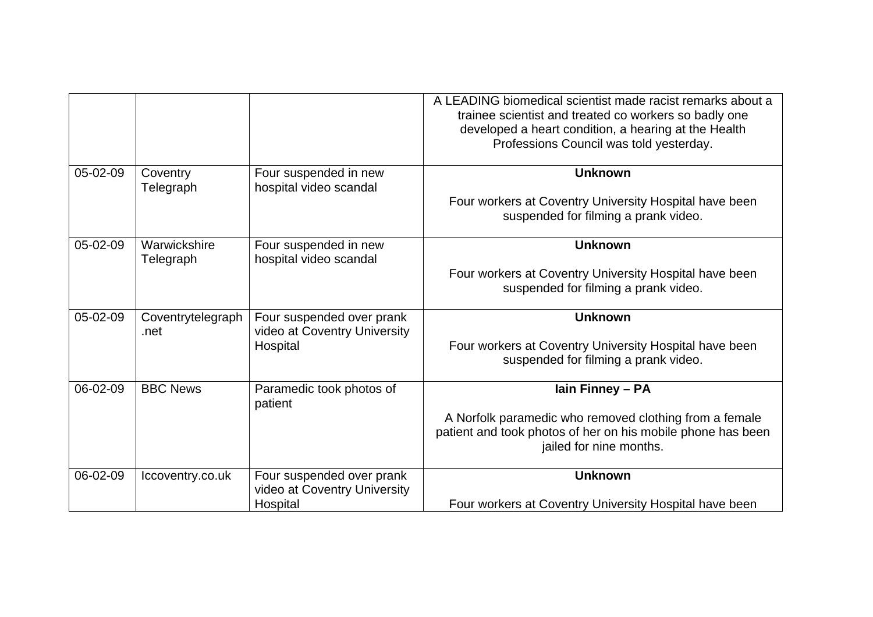|          |                           |                                                                       | A LEADING biomedical scientist made racist remarks about a<br>trainee scientist and treated co workers so badly one<br>developed a heart condition, a hearing at the Health<br>Professions Council was told yesterday. |
|----------|---------------------------|-----------------------------------------------------------------------|------------------------------------------------------------------------------------------------------------------------------------------------------------------------------------------------------------------------|
| 05-02-09 | Coventry<br>Telegraph     | Four suspended in new<br>hospital video scandal                       | <b>Unknown</b><br>Four workers at Coventry University Hospital have been<br>suspended for filming a prank video.                                                                                                       |
| 05-02-09 | Warwickshire<br>Telegraph | Four suspended in new<br>hospital video scandal                       | <b>Unknown</b><br>Four workers at Coventry University Hospital have been<br>suspended for filming a prank video.                                                                                                       |
| 05-02-09 | Coventrytelegraph<br>.net | Four suspended over prank<br>video at Coventry University<br>Hospital | <b>Unknown</b><br>Four workers at Coventry University Hospital have been<br>suspended for filming a prank video.                                                                                                       |
| 06-02-09 | <b>BBC News</b>           | Paramedic took photos of<br>patient                                   | lain Finney - PA<br>A Norfolk paramedic who removed clothing from a female<br>patient and took photos of her on his mobile phone has been<br>jailed for nine months.                                                   |
| 06-02-09 | Iccoventry.co.uk          | Four suspended over prank<br>video at Coventry University<br>Hospital | <b>Unknown</b><br>Four workers at Coventry University Hospital have been                                                                                                                                               |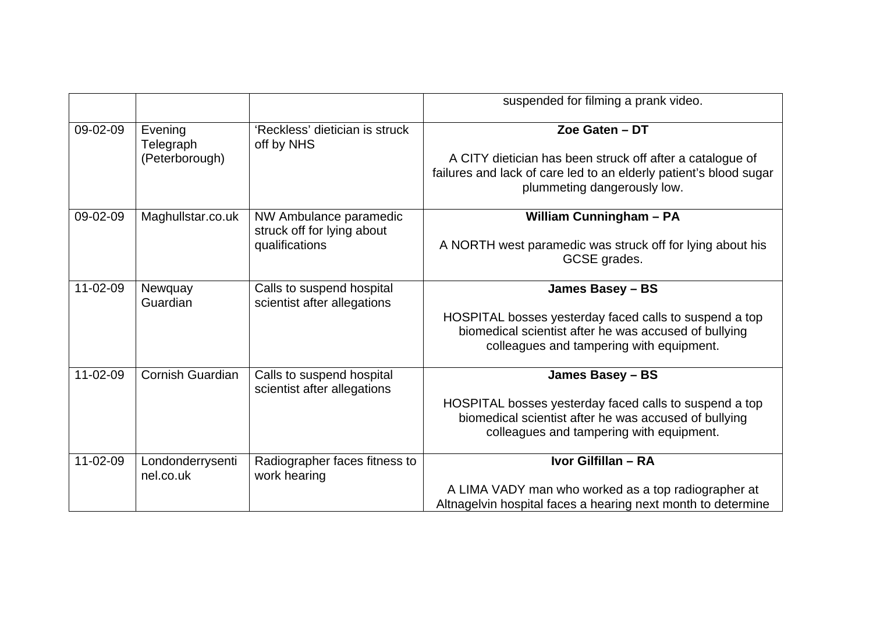|                |                               |                                                          | suspended for filming a prank video.                                                                                                                          |
|----------------|-------------------------------|----------------------------------------------------------|---------------------------------------------------------------------------------------------------------------------------------------------------------------|
| 09-02-09       | Evening<br>Telegraph          | 'Reckless' dietician is struck<br>off by NHS             | Zoe Gaten - DT                                                                                                                                                |
|                | (Peterborough)                |                                                          | A CITY dietician has been struck off after a catalogue of<br>failures and lack of care led to an elderly patient's blood sugar<br>plummeting dangerously low. |
| 09-02-09       | Maghullstar.co.uk             | NW Ambulance paramedic<br>struck off for lying about     | <b>William Cunningham - PA</b>                                                                                                                                |
|                |                               | qualifications                                           | A NORTH west paramedic was struck off for lying about his<br>GCSE grades.                                                                                     |
| 11-02-09       | Newquay<br>Guardian           | Calls to suspend hospital<br>scientist after allegations | James Basey - BS                                                                                                                                              |
|                |                               |                                                          | HOSPITAL bosses yesterday faced calls to suspend a top<br>biomedical scientist after he was accused of bullying<br>colleagues and tampering with equipment.   |
|                |                               |                                                          |                                                                                                                                                               |
| $11 - 02 - 09$ | <b>Cornish Guardian</b>       | Calls to suspend hospital<br>scientist after allegations | James Basey - BS                                                                                                                                              |
|                |                               |                                                          | HOSPITAL bosses yesterday faced calls to suspend a top<br>biomedical scientist after he was accused of bullying<br>colleagues and tampering with equipment.   |
| 11-02-09       | Londonderrysenti<br>nel.co.uk | Radiographer faces fitness to<br>work hearing            | Ivor Gilfillan - RA                                                                                                                                           |
|                |                               |                                                          | A LIMA VADY man who worked as a top radiographer at                                                                                                           |
|                |                               |                                                          | Altnagelvin hospital faces a hearing next month to determine                                                                                                  |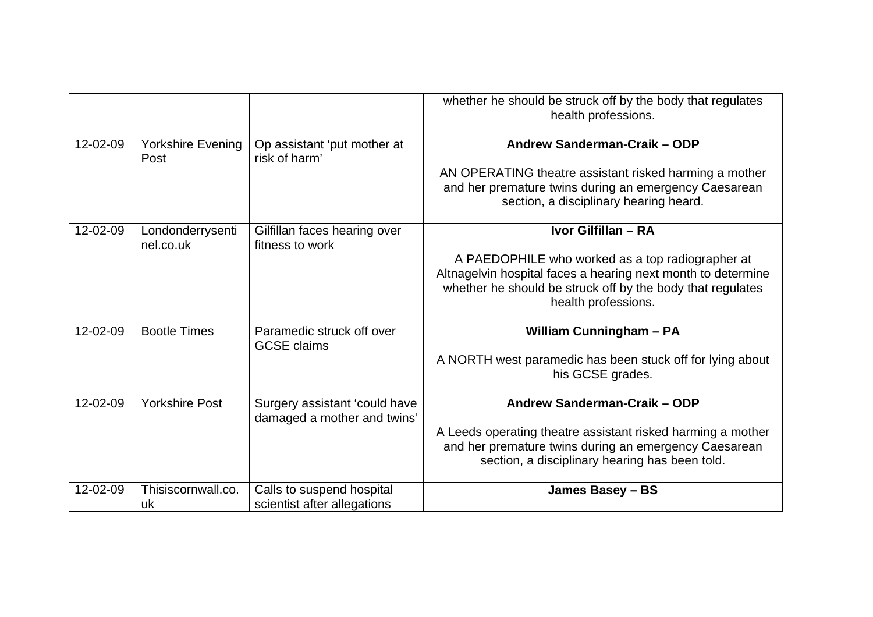|          |                               |                                                              | whether he should be struck off by the body that regulates<br>health professions. |
|----------|-------------------------------|--------------------------------------------------------------|-----------------------------------------------------------------------------------|
| 12-02-09 | Yorkshire Evening<br>Post     | Op assistant 'put mother at<br>risk of harm'                 | Andrew Sanderman-Craik - ODP                                                      |
|          |                               |                                                              | AN OPERATING theatre assistant risked harming a mother                            |
|          |                               |                                                              | and her premature twins during an emergency Caesarean                             |
|          |                               |                                                              | section, a disciplinary hearing heard.                                            |
| 12-02-09 | Londonderrysenti<br>nel.co.uk | Gilfillan faces hearing over<br>fitness to work              | Ivor Gilfillan - RA                                                               |
|          |                               |                                                              | A PAEDOPHILE who worked as a top radiographer at                                  |
|          |                               |                                                              | Altnagelvin hospital faces a hearing next month to determine                      |
|          |                               |                                                              | whether he should be struck off by the body that regulates<br>health professions. |
|          |                               |                                                              |                                                                                   |
| 12-02-09 | <b>Bootle Times</b>           | Paramedic struck off over<br><b>GCSE</b> claims              | <b>William Cunningham - PA</b>                                                    |
|          |                               |                                                              | A NORTH west paramedic has been stuck off for lying about                         |
|          |                               |                                                              | his GCSE grades.                                                                  |
| 12-02-09 | <b>Yorkshire Post</b>         | Surgery assistant 'could have<br>damaged a mother and twins' | Andrew Sanderman-Craik - ODP                                                      |
|          |                               |                                                              | A Leeds operating theatre assistant risked harming a mother                       |
|          |                               |                                                              | and her premature twins during an emergency Caesarean                             |
|          |                               |                                                              | section, a disciplinary hearing has been told.                                    |
| 12-02-09 | Thisiscornwall.co.            | Calls to suspend hospital                                    | James Basey - BS                                                                  |
|          | uk                            | scientist after allegations                                  |                                                                                   |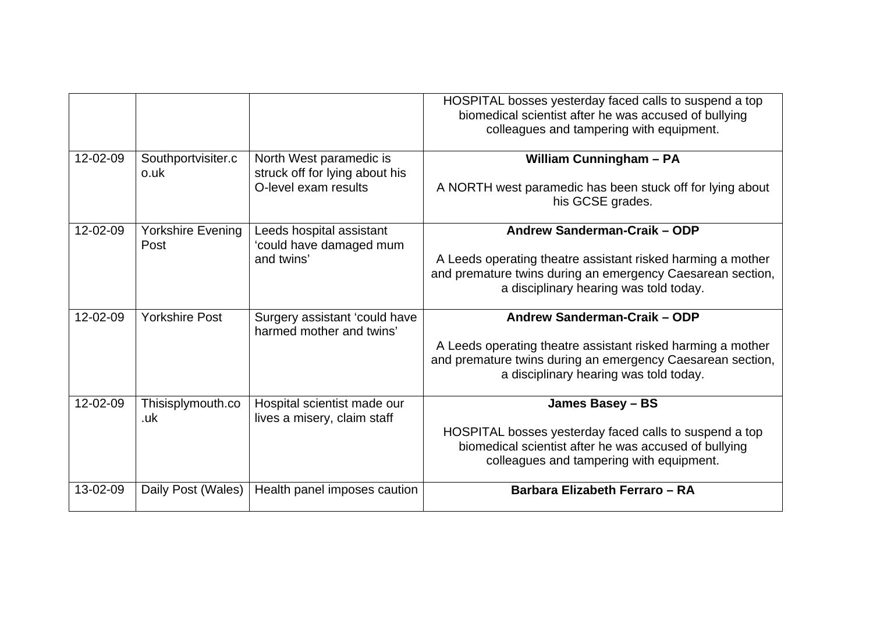|                |                            |                                                                                   | HOSPITAL bosses yesterday faced calls to suspend a top<br>biomedical scientist after he was accused of bullying<br>colleagues and tampering with equipment.                                         |
|----------------|----------------------------|-----------------------------------------------------------------------------------|-----------------------------------------------------------------------------------------------------------------------------------------------------------------------------------------------------|
| 12-02-09       | Southportvisiter.c<br>o.uk | North West paramedic is<br>struck off for lying about his<br>O-level exam results | <b>William Cunningham - PA</b><br>A NORTH west paramedic has been stuck off for lying about<br>his GCSE grades.                                                                                     |
| 12-02-09       | Yorkshire Evening<br>Post  | Leeds hospital assistant<br>'could have damaged mum<br>and twins'                 | Andrew Sanderman-Craik - ODP<br>A Leeds operating theatre assistant risked harming a mother<br>and premature twins during an emergency Caesarean section,<br>a disciplinary hearing was told today. |
| $12 - 02 - 09$ | <b>Yorkshire Post</b>      | Surgery assistant 'could have<br>harmed mother and twins'                         | Andrew Sanderman-Craik - ODP<br>A Leeds operating theatre assistant risked harming a mother<br>and premature twins during an emergency Caesarean section,<br>a disciplinary hearing was told today. |
| 12-02-09       | Thisisplymouth.co<br>.uk   | Hospital scientist made our<br>lives a misery, claim staff                        | James Basey - BS<br>HOSPITAL bosses yesterday faced calls to suspend a top<br>biomedical scientist after he was accused of bullying<br>colleagues and tampering with equipment.                     |
| 13-02-09       | Daily Post (Wales)         | Health panel imposes caution                                                      | Barbara Elizabeth Ferraro - RA                                                                                                                                                                      |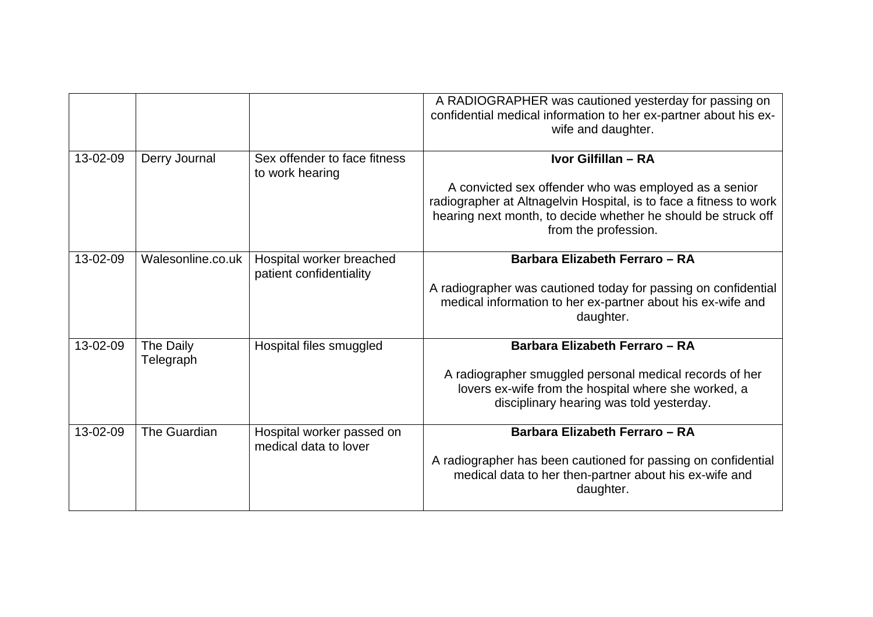|          |                        |                                                     | A RADIOGRAPHER was cautioned yesterday for passing on<br>confidential medical information to her ex-partner about his ex-<br>wife and daughter.                                                                      |
|----------|------------------------|-----------------------------------------------------|----------------------------------------------------------------------------------------------------------------------------------------------------------------------------------------------------------------------|
| 13-02-09 | Derry Journal          | Sex offender to face fitness<br>to work hearing     | Ivor Gilfillan - RA                                                                                                                                                                                                  |
|          |                        |                                                     | A convicted sex offender who was employed as a senior<br>radiographer at Altnagelvin Hospital, is to face a fitness to work<br>hearing next month, to decide whether he should be struck off<br>from the profession. |
| 13-02-09 | Walesonline.co.uk      | Hospital worker breached<br>patient confidentiality | Barbara Elizabeth Ferraro - RA                                                                                                                                                                                       |
|          |                        |                                                     | A radiographer was cautioned today for passing on confidential<br>medical information to her ex-partner about his ex-wife and<br>daughter.                                                                           |
| 13-02-09 | The Daily<br>Telegraph | Hospital files smuggled                             | Barbara Elizabeth Ferraro - RA                                                                                                                                                                                       |
|          |                        |                                                     | A radiographer smuggled personal medical records of her<br>lovers ex-wife from the hospital where she worked, a<br>disciplinary hearing was told yesterday.                                                          |
| 13-02-09 | The Guardian           | Hospital worker passed on<br>medical data to lover  | Barbara Elizabeth Ferraro - RA                                                                                                                                                                                       |
|          |                        |                                                     | A radiographer has been cautioned for passing on confidential<br>medical data to her then-partner about his ex-wife and<br>daughter.                                                                                 |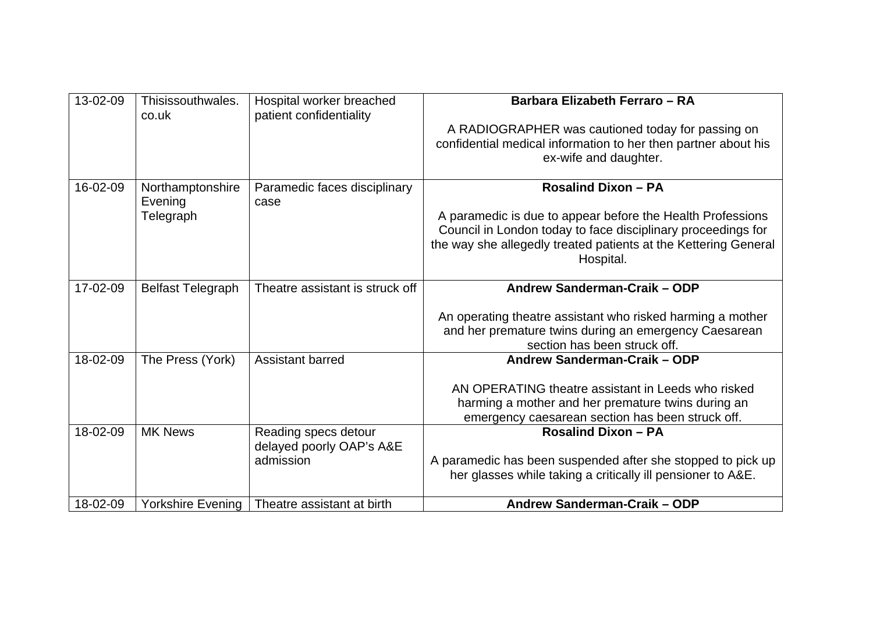| 13-02-09 | Thisissouthwales.<br>co.uk               | Hospital worker breached<br>patient confidentiality           | Barbara Elizabeth Ferraro - RA                                                                                                                                                                                                           |
|----------|------------------------------------------|---------------------------------------------------------------|------------------------------------------------------------------------------------------------------------------------------------------------------------------------------------------------------------------------------------------|
|          |                                          |                                                               | A RADIOGRAPHER was cautioned today for passing on<br>confidential medical information to her then partner about his<br>ex-wife and daughter.                                                                                             |
| 16-02-09 | Northamptonshire<br>Evening<br>Telegraph | Paramedic faces disciplinary<br>case                          | <b>Rosalind Dixon - PA</b><br>A paramedic is due to appear before the Health Professions<br>Council in London today to face disciplinary proceedings for<br>the way she allegedly treated patients at the Kettering General<br>Hospital. |
| 17-02-09 | <b>Belfast Telegraph</b>                 | Theatre assistant is struck off                               | Andrew Sanderman-Craik - ODP<br>An operating theatre assistant who risked harming a mother<br>and her premature twins during an emergency Caesarean                                                                                      |
| 18-02-09 |                                          | <b>Assistant barred</b>                                       | section has been struck off.<br>Andrew Sanderman-Craik - ODP                                                                                                                                                                             |
|          | The Press (York)                         |                                                               | AN OPERATING theatre assistant in Leeds who risked<br>harming a mother and her premature twins during an<br>emergency caesarean section has been struck off.                                                                             |
| 18-02-09 | <b>MK News</b>                           | Reading specs detour<br>delayed poorly OAP's A&E<br>admission | <b>Rosalind Dixon - PA</b><br>A paramedic has been suspended after she stopped to pick up<br>her glasses while taking a critically ill pensioner to A&E.                                                                                 |
| 18-02-09 | Yorkshire Evening                        | Theatre assistant at birth                                    | Andrew Sanderman-Craik - ODP                                                                                                                                                                                                             |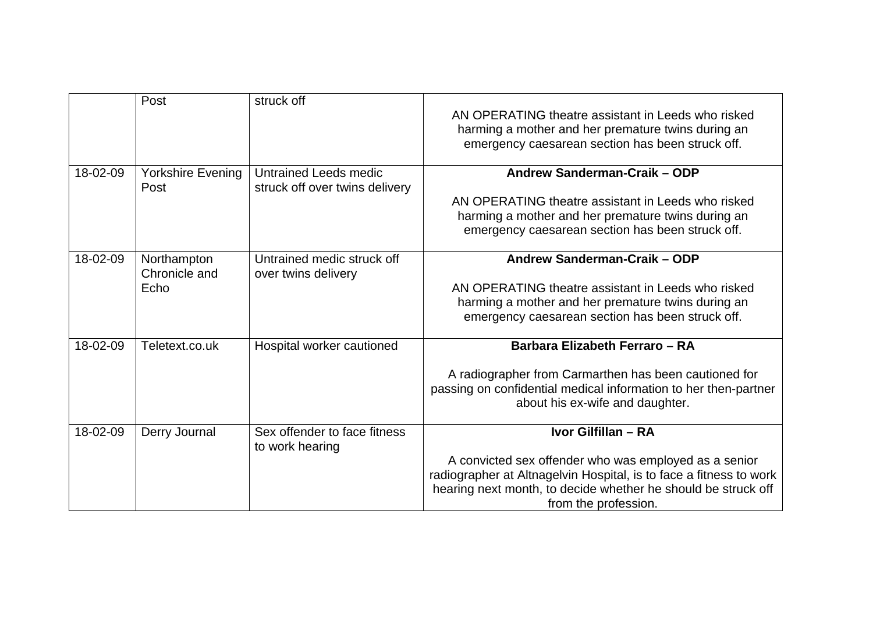|          | Post                             | struck off                                                     | AN OPERATING theatre assistant in Leeds who risked<br>harming a mother and her premature twins during an<br>emergency caesarean section has been struck off.                                                         |
|----------|----------------------------------|----------------------------------------------------------------|----------------------------------------------------------------------------------------------------------------------------------------------------------------------------------------------------------------------|
| 18-02-09 | <b>Yorkshire Evening</b><br>Post | <b>Untrained Leeds medic</b><br>struck off over twins delivery | Andrew Sanderman-Craik - ODP<br>AN OPERATING theatre assistant in Leeds who risked                                                                                                                                   |
|          |                                  |                                                                | harming a mother and her premature twins during an<br>emergency caesarean section has been struck off.                                                                                                               |
| 18-02-09 | Northampton<br>Chronicle and     | Untrained medic struck off<br>over twins delivery              | Andrew Sanderman-Craik - ODP                                                                                                                                                                                         |
|          | Echo                             |                                                                | AN OPERATING theatre assistant in Leeds who risked                                                                                                                                                                   |
|          |                                  |                                                                | harming a mother and her premature twins during an                                                                                                                                                                   |
|          |                                  |                                                                | emergency caesarean section has been struck off.                                                                                                                                                                     |
| 18-02-09 | Teletext.co.uk                   | Hospital worker cautioned                                      | Barbara Elizabeth Ferraro - RA                                                                                                                                                                                       |
|          |                                  |                                                                | A radiographer from Carmarthen has been cautioned for<br>passing on confidential medical information to her then-partner<br>about his ex-wife and daughter.                                                          |
| 18-02-09 | Derry Journal                    | Sex offender to face fitness<br>to work hearing                | Ivor Gilfillan - RA                                                                                                                                                                                                  |
|          |                                  |                                                                | A convicted sex offender who was employed as a senior<br>radiographer at Altnagelvin Hospital, is to face a fitness to work<br>hearing next month, to decide whether he should be struck off<br>from the profession. |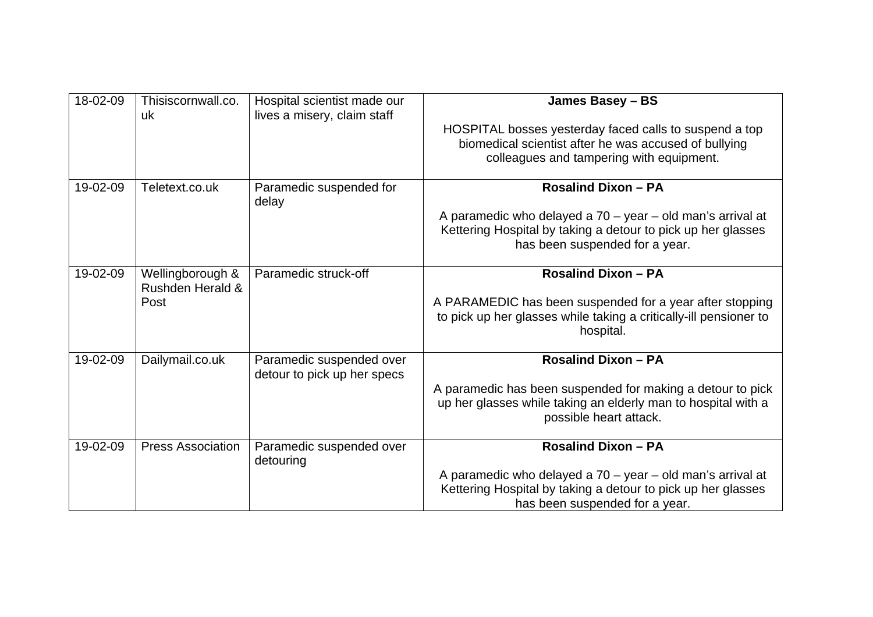| 18-02-09 | Thisiscornwall.co.<br>uk             | Hospital scientist made our<br>lives a misery, claim staff | James Basey - BS                                                                                                                                             |
|----------|--------------------------------------|------------------------------------------------------------|--------------------------------------------------------------------------------------------------------------------------------------------------------------|
|          |                                      |                                                            | HOSPITAL bosses yesterday faced calls to suspend a top<br>biomedical scientist after he was accused of bullying<br>colleagues and tampering with equipment.  |
| 19-02-09 | Teletext.co.uk                       | Paramedic suspended for<br>delay                           | <b>Rosalind Dixon - PA</b>                                                                                                                                   |
|          |                                      |                                                            | A paramedic who delayed a 70 - year - old man's arrival at<br>Kettering Hospital by taking a detour to pick up her glasses<br>has been suspended for a year. |
| 19-02-09 | Wellingborough &<br>Rushden Herald & | Paramedic struck-off                                       | <b>Rosalind Dixon - PA</b>                                                                                                                                   |
|          | Post                                 |                                                            | A PARAMEDIC has been suspended for a year after stopping<br>to pick up her glasses while taking a critically-ill pensioner to<br>hospital.                   |
| 19-02-09 | Dailymail.co.uk                      | Paramedic suspended over<br>detour to pick up her specs    | <b>Rosalind Dixon - PA</b>                                                                                                                                   |
|          |                                      |                                                            | A paramedic has been suspended for making a detour to pick<br>up her glasses while taking an elderly man to hospital with a<br>possible heart attack.        |
| 19-02-09 | <b>Press Association</b>             | Paramedic suspended over<br>detouring                      | <b>Rosalind Dixon - PA</b>                                                                                                                                   |
|          |                                      |                                                            | A paramedic who delayed a 70 - year - old man's arrival at<br>Kettering Hospital by taking a detour to pick up her glasses<br>has been suspended for a year. |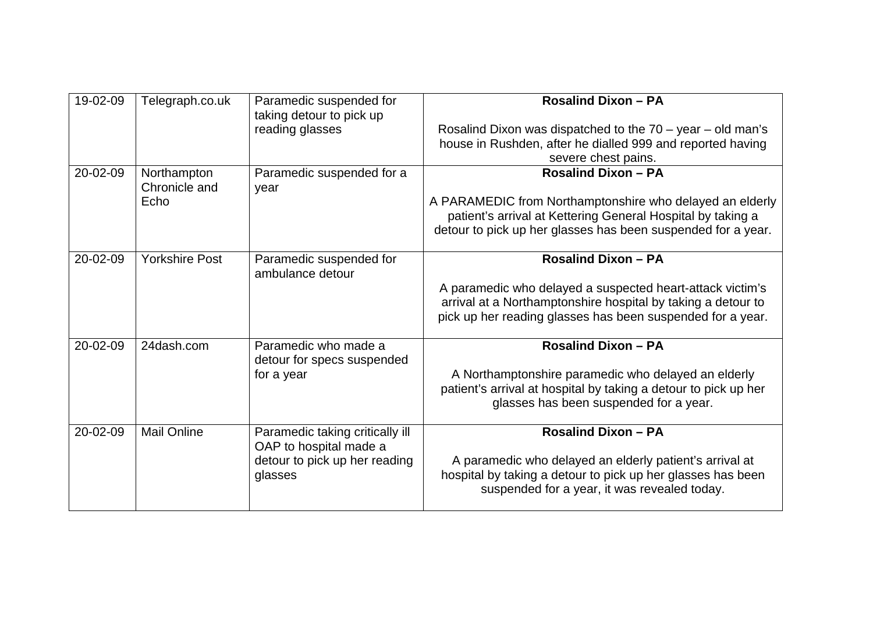| 19-02-09 | Telegraph.co.uk                      | Paramedic suspended for<br>taking detour to pick up<br>reading glasses                                | <b>Rosalind Dixon - PA</b><br>Rosalind Dixon was dispatched to the $70 - year - old$ man's<br>house in Rushden, after he dialled 999 and reported having<br>severe chest pains.                                       |
|----------|--------------------------------------|-------------------------------------------------------------------------------------------------------|-----------------------------------------------------------------------------------------------------------------------------------------------------------------------------------------------------------------------|
| 20-02-09 | Northampton<br>Chronicle and<br>Echo | Paramedic suspended for a<br>year                                                                     | <b>Rosalind Dixon - PA</b><br>A PARAMEDIC from Northamptonshire who delayed an elderly<br>patient's arrival at Kettering General Hospital by taking a<br>detour to pick up her glasses has been suspended for a year. |
| 20-02-09 | <b>Yorkshire Post</b>                | Paramedic suspended for<br>ambulance detour                                                           | <b>Rosalind Dixon - PA</b><br>A paramedic who delayed a suspected heart-attack victim's<br>arrival at a Northamptonshire hospital by taking a detour to<br>pick up her reading glasses has been suspended for a year. |
| 20-02-09 | 24dash.com                           | Paramedic who made a<br>detour for specs suspended<br>for a year                                      | <b>Rosalind Dixon - PA</b><br>A Northamptonshire paramedic who delayed an elderly<br>patient's arrival at hospital by taking a detour to pick up her<br>glasses has been suspended for a year.                        |
| 20-02-09 | <b>Mail Online</b>                   | Paramedic taking critically ill<br>OAP to hospital made a<br>detour to pick up her reading<br>glasses | <b>Rosalind Dixon - PA</b><br>A paramedic who delayed an elderly patient's arrival at<br>hospital by taking a detour to pick up her glasses has been<br>suspended for a year, it was revealed today.                  |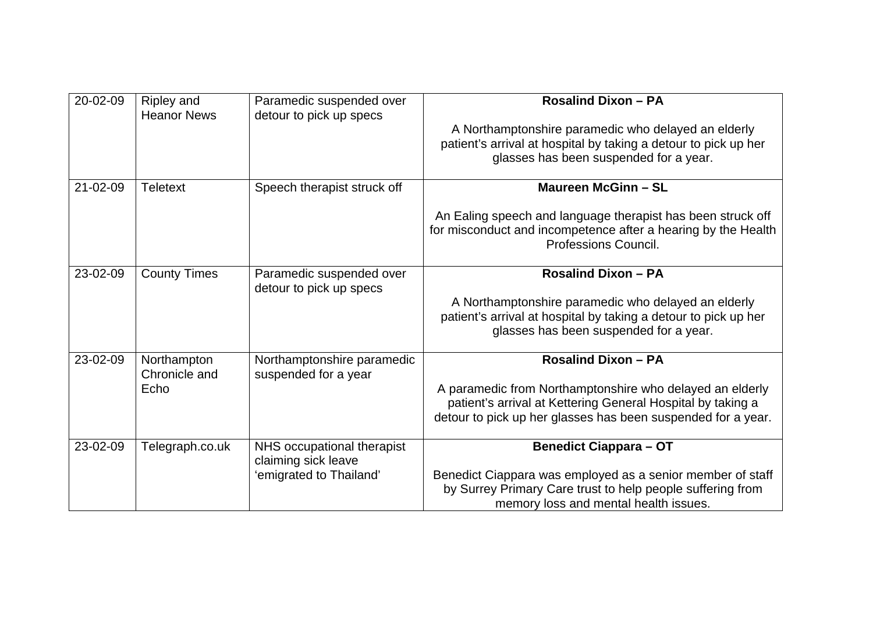| 20-02-09       | Ripley and<br><b>Heanor News</b> | Paramedic suspended over<br>detour to pick up specs | <b>Rosalind Dixon - PA</b>                                                                                                                           |
|----------------|----------------------------------|-----------------------------------------------------|------------------------------------------------------------------------------------------------------------------------------------------------------|
|                |                                  |                                                     | A Northamptonshire paramedic who delayed an elderly                                                                                                  |
|                |                                  |                                                     | patient's arrival at hospital by taking a detour to pick up her                                                                                      |
|                |                                  |                                                     | glasses has been suspended for a year.                                                                                                               |
| $21 - 02 - 09$ | <b>Teletext</b>                  | Speech therapist struck off                         | <b>Maureen McGinn - SL</b>                                                                                                                           |
|                |                                  |                                                     | An Ealing speech and language therapist has been struck off<br>for misconduct and incompetence after a hearing by the Health<br>Professions Council. |
|                |                                  |                                                     |                                                                                                                                                      |
| 23-02-09       | <b>County Times</b>              | Paramedic suspended over<br>detour to pick up specs | <b>Rosalind Dixon - PA</b>                                                                                                                           |
|                |                                  |                                                     | A Northamptonshire paramedic who delayed an elderly                                                                                                  |
|                |                                  |                                                     | patient's arrival at hospital by taking a detour to pick up her                                                                                      |
|                |                                  |                                                     | glasses has been suspended for a year.                                                                                                               |
| 23-02-09       | Northampton<br>Chronicle and     | Northamptonshire paramedic<br>suspended for a year  | <b>Rosalind Dixon - PA</b>                                                                                                                           |
|                | Echo                             |                                                     | A paramedic from Northamptonshire who delayed an elderly                                                                                             |
|                |                                  |                                                     | patient's arrival at Kettering General Hospital by taking a                                                                                          |
|                |                                  |                                                     | detour to pick up her glasses has been suspended for a year.                                                                                         |
| 23-02-09       | Telegraph.co.uk                  | NHS occupational therapist                          | <b>Benedict Ciappara - OT</b>                                                                                                                        |
|                |                                  | claiming sick leave<br>'emigrated to Thailand'      | Benedict Ciappara was employed as a senior member of staff                                                                                           |
|                |                                  |                                                     | by Surrey Primary Care trust to help people suffering from<br>memory loss and mental health issues.                                                  |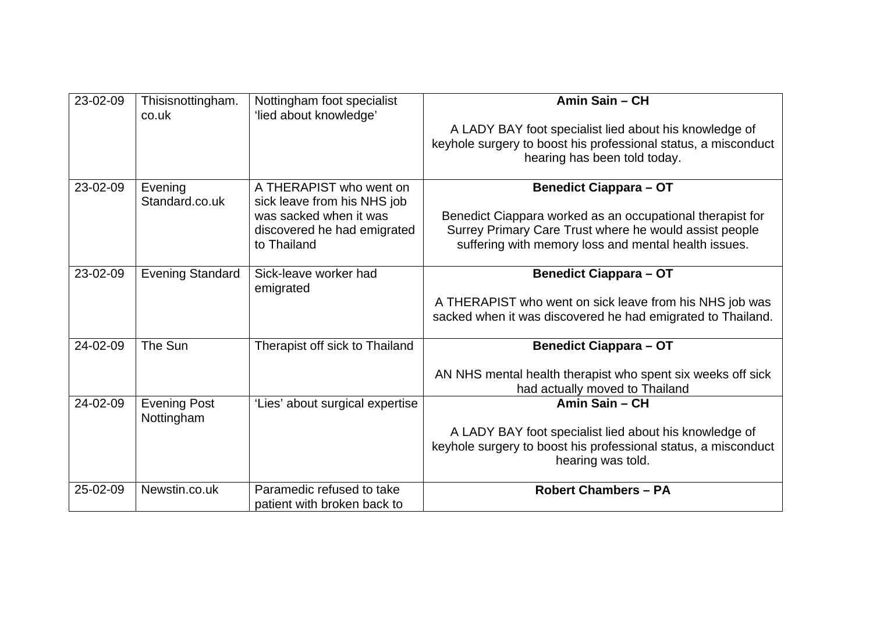| 23-02-09 | Thisisnottingham.<br>co.uk        | Nottingham foot specialist<br>'lied about knowledge'     | Amin Sain - CH                                                                                |
|----------|-----------------------------------|----------------------------------------------------------|-----------------------------------------------------------------------------------------------|
|          |                                   |                                                          | A LADY BAY foot specialist lied about his knowledge of                                        |
|          |                                   |                                                          | keyhole surgery to boost his professional status, a misconduct                                |
|          |                                   |                                                          | hearing has been told today.                                                                  |
| 23-02-09 | Evening<br>Standard.co.uk         | A THERAPIST who went on<br>sick leave from his NHS job   | <b>Benedict Ciappara - OT</b>                                                                 |
|          |                                   | was sacked when it was                                   | Benedict Ciappara worked as an occupational therapist for                                     |
|          |                                   | discovered he had emigrated                              | Surrey Primary Care Trust where he would assist people                                        |
|          |                                   | to Thailand                                              | suffering with memory loss and mental health issues.                                          |
|          |                                   |                                                          |                                                                                               |
| 23-02-09 | <b>Evening Standard</b>           | Sick-leave worker had<br>emigrated                       | <b>Benedict Ciappara - OT</b>                                                                 |
|          |                                   |                                                          | A THERAPIST who went on sick leave from his NHS job was                                       |
|          |                                   |                                                          | sacked when it was discovered he had emigrated to Thailand.                                   |
| 24-02-09 | The Sun                           | Therapist off sick to Thailand                           | <b>Benedict Ciappara - OT</b>                                                                 |
|          |                                   |                                                          | AN NHS mental health therapist who spent six weeks off sick<br>had actually moved to Thailand |
| 24-02-09 | <b>Evening Post</b><br>Nottingham | 'Lies' about surgical expertise                          | Amin Sain - CH                                                                                |
|          |                                   |                                                          | A LADY BAY foot specialist lied about his knowledge of                                        |
|          |                                   |                                                          | keyhole surgery to boost his professional status, a misconduct<br>hearing was told.           |
|          |                                   |                                                          |                                                                                               |
| 25-02-09 | Newstin.co.uk                     | Paramedic refused to take<br>patient with broken back to | <b>Robert Chambers - PA</b>                                                                   |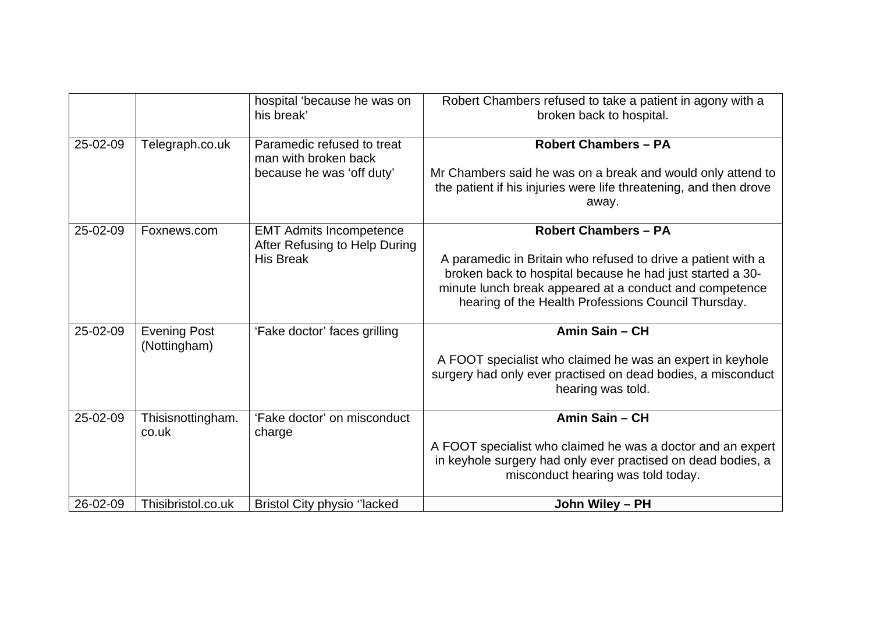|          |                                     | hospital 'because he was on<br>his break'                                           | Robert Chambers refused to take a patient in agony with a<br>broken back to hospital.                                                                                                                                                                                      |
|----------|-------------------------------------|-------------------------------------------------------------------------------------|----------------------------------------------------------------------------------------------------------------------------------------------------------------------------------------------------------------------------------------------------------------------------|
| 25-02-09 | Telegraph.co.uk                     | Paramedic refused to treat<br>man with broken back<br>because he was 'off duty'     | <b>Robert Chambers - PA</b><br>Mr Chambers said he was on a break and would only attend to<br>the patient if his injuries were life threatening, and then drove<br>away.                                                                                                   |
| 25-02-09 | Foxnews.com                         | <b>EMT Admits Incompetence</b><br>After Refusing to Help During<br><b>His Break</b> | <b>Robert Chambers - PA</b><br>A paramedic in Britain who refused to drive a patient with a<br>broken back to hospital because he had just started a 30-<br>minute lunch break appeared at a conduct and competence<br>hearing of the Health Professions Council Thursday. |
| 25-02-09 | <b>Evening Post</b><br>(Nottingham) | 'Fake doctor' faces grilling                                                        | Amin Sain - CH<br>A FOOT specialist who claimed he was an expert in keyhole<br>surgery had only ever practised on dead bodies, a misconduct<br>hearing was told.                                                                                                           |
| 25-02-09 | Thisisnottingham.<br>co.uk          | 'Fake doctor' on misconduct<br>charge                                               | Amin Sain - CH<br>A FOOT specialist who claimed he was a doctor and an expert<br>in keyhole surgery had only ever practised on dead bodies, a<br>misconduct hearing was told today.                                                                                        |
| 26-02-09 | Thisibristol.co.uk                  | <b>Bristol City physio "lacked</b>                                                  | John Wiley - PH                                                                                                                                                                                                                                                            |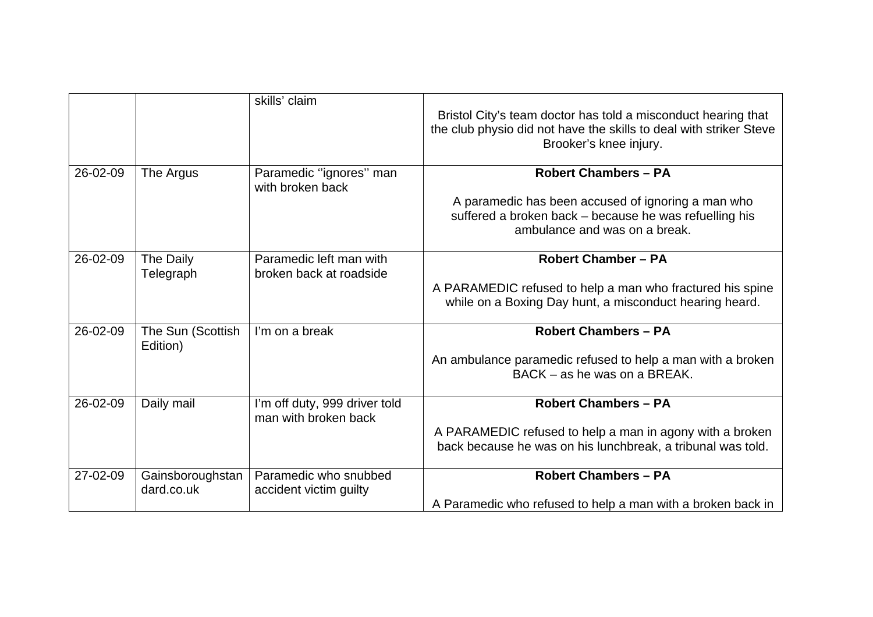|          |                                | skills' claim                                         | Bristol City's team doctor has told a misconduct hearing that<br>the club physio did not have the skills to deal with striker Steve<br>Brooker's knee injury. |
|----------|--------------------------------|-------------------------------------------------------|---------------------------------------------------------------------------------------------------------------------------------------------------------------|
| 26-02-09 | The Argus                      | Paramedic "ignores" man<br>with broken back           | <b>Robert Chambers - PA</b>                                                                                                                                   |
|          |                                |                                                       | A paramedic has been accused of ignoring a man who<br>suffered a broken back - because he was refuelling his<br>ambulance and was on a break.                 |
| 26-02-09 | The Daily                      | Paramedic left man with                               | <b>Robert Chamber - PA</b>                                                                                                                                    |
|          | Telegraph                      | broken back at roadside                               | A PARAMEDIC refused to help a man who fractured his spine<br>while on a Boxing Day hunt, a misconduct hearing heard.                                          |
| 26-02-09 | The Sun (Scottish<br>Edition)  | I'm on a break                                        | <b>Robert Chambers - PA</b>                                                                                                                                   |
|          |                                |                                                       | An ambulance paramedic refused to help a man with a broken<br>BACK - as he was on a BREAK.                                                                    |
| 26-02-09 | Daily mail                     | I'm off duty, 999 driver told<br>man with broken back | <b>Robert Chambers - PA</b>                                                                                                                                   |
|          |                                |                                                       | A PARAMEDIC refused to help a man in agony with a broken<br>back because he was on his lunchbreak, a tribunal was told.                                       |
| 27-02-09 | Gainsboroughstan<br>dard.co.uk | Paramedic who snubbed<br>accident victim guilty       | <b>Robert Chambers - PA</b>                                                                                                                                   |
|          |                                |                                                       | A Paramedic who refused to help a man with a broken back in                                                                                                   |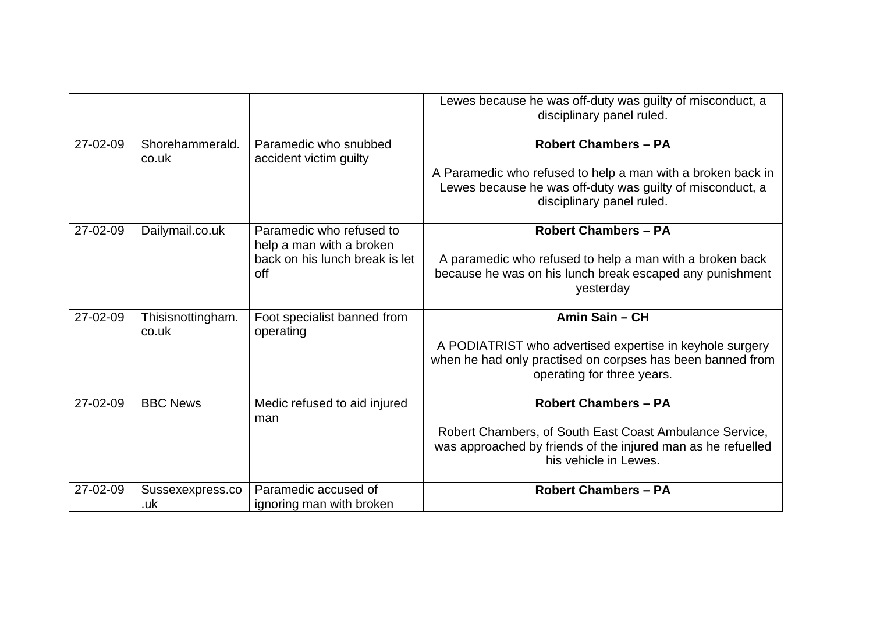|                |                            |                                                                                               | Lewes because he was off-duty was guilty of misconduct, a<br>disciplinary panel ruled.                                                                                               |
|----------------|----------------------------|-----------------------------------------------------------------------------------------------|--------------------------------------------------------------------------------------------------------------------------------------------------------------------------------------|
| 27-02-09       | Shorehammerald.<br>co.uk   | Paramedic who snubbed<br>accident victim guilty                                               | <b>Robert Chambers - PA</b><br>A Paramedic who refused to help a man with a broken back in<br>Lewes because he was off-duty was guilty of misconduct, a<br>disciplinary panel ruled. |
| 27-02-09       | Dailymail.co.uk            | Paramedic who refused to<br>help a man with a broken<br>back on his lunch break is let<br>off | <b>Robert Chambers - PA</b><br>A paramedic who refused to help a man with a broken back<br>because he was on his lunch break escaped any punishment<br>yesterday                     |
| $27 - 02 - 09$ | Thisisnottingham.<br>co.uk | Foot specialist banned from<br>operating                                                      | Amin Sain - CH<br>A PODIATRIST who advertised expertise in keyhole surgery<br>when he had only practised on corpses has been banned from<br>operating for three years.               |
| 27-02-09       | <b>BBC News</b>            | Medic refused to aid injured<br>man                                                           | <b>Robert Chambers - PA</b><br>Robert Chambers, of South East Coast Ambulance Service,<br>was approached by friends of the injured man as he refuelled<br>his vehicle in Lewes.      |
| 27-02-09       | Sussexexpress.co<br>.uk    | Paramedic accused of<br>ignoring man with broken                                              | <b>Robert Chambers - PA</b>                                                                                                                                                          |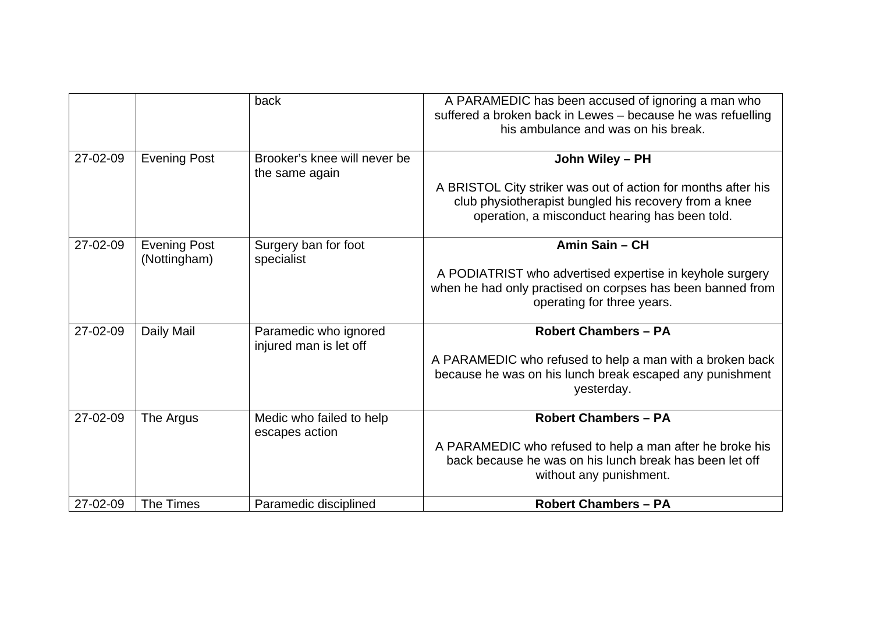|          |                                     | back                                            | A PARAMEDIC has been accused of ignoring a man who<br>suffered a broken back in Lewes - because he was refuelling<br>his ambulance and was on his break.                                    |
|----------|-------------------------------------|-------------------------------------------------|---------------------------------------------------------------------------------------------------------------------------------------------------------------------------------------------|
| 27-02-09 | <b>Evening Post</b>                 | Brooker's knee will never be<br>the same again  | John Wiley - PH<br>A BRISTOL City striker was out of action for months after his<br>club physiotherapist bungled his recovery from a knee<br>operation, a misconduct hearing has been told. |
| 27-02-09 | <b>Evening Post</b><br>(Nottingham) | Surgery ban for foot<br>specialist              | Amin Sain - CH<br>A PODIATRIST who advertised expertise in keyhole surgery<br>when he had only practised on corpses has been banned from<br>operating for three years.                      |
| 27-02-09 | Daily Mail                          | Paramedic who ignored<br>injured man is let off | <b>Robert Chambers - PA</b><br>A PARAMEDIC who refused to help a man with a broken back<br>because he was on his lunch break escaped any punishment<br>yesterday.                           |
| 27-02-09 | The Argus                           | Medic who failed to help<br>escapes action      | <b>Robert Chambers - PA</b><br>A PARAMEDIC who refused to help a man after he broke his<br>back because he was on his lunch break has been let off<br>without any punishment.               |
| 27-02-09 | The Times                           | Paramedic disciplined                           | <b>Robert Chambers - PA</b>                                                                                                                                                                 |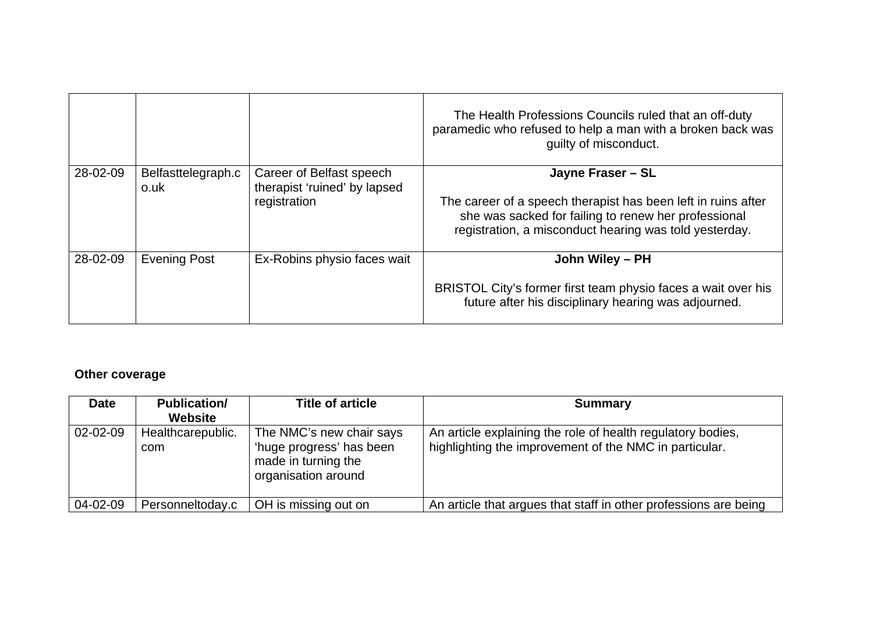|          |                            |                                                                          | The Health Professions Councils ruled that an off-duty<br>paramedic who refused to help a man with a broken back was<br>guilty of misconduct.                                                        |
|----------|----------------------------|--------------------------------------------------------------------------|------------------------------------------------------------------------------------------------------------------------------------------------------------------------------------------------------|
| 28-02-09 | Belfasttelegraph.c<br>o.uk | Career of Belfast speech<br>therapist 'ruined' by lapsed<br>registration | Jayne Fraser - SL<br>The career of a speech therapist has been left in ruins after<br>she was sacked for failing to renew her professional<br>registration, a misconduct hearing was told yesterday. |
| 28-02-09 | <b>Evening Post</b>        | Ex-Robins physio faces wait                                              | John Wiley - PH<br>BRISTOL City's former first team physio faces a wait over his<br>future after his disciplinary hearing was adjourned.                                                             |

### **Other coverage**

| <b>Date</b>    | <b>Publication/</b><br><b>Website</b> | <b>Title of article</b>                                                                            | <b>Summary</b>                                                                                                        |
|----------------|---------------------------------------|----------------------------------------------------------------------------------------------------|-----------------------------------------------------------------------------------------------------------------------|
| $02 - 02 - 09$ | Healthcarepublic.<br>com              | The NMC's new chair says<br>'huge progress' has been<br>made in turning the<br>organisation around | An article explaining the role of health regulatory bodies,<br>highlighting the improvement of the NMC in particular. |
| 04-02-09       | Personneltoday.c                      | OH is missing out on                                                                               | An article that argues that staff in other professions are being                                                      |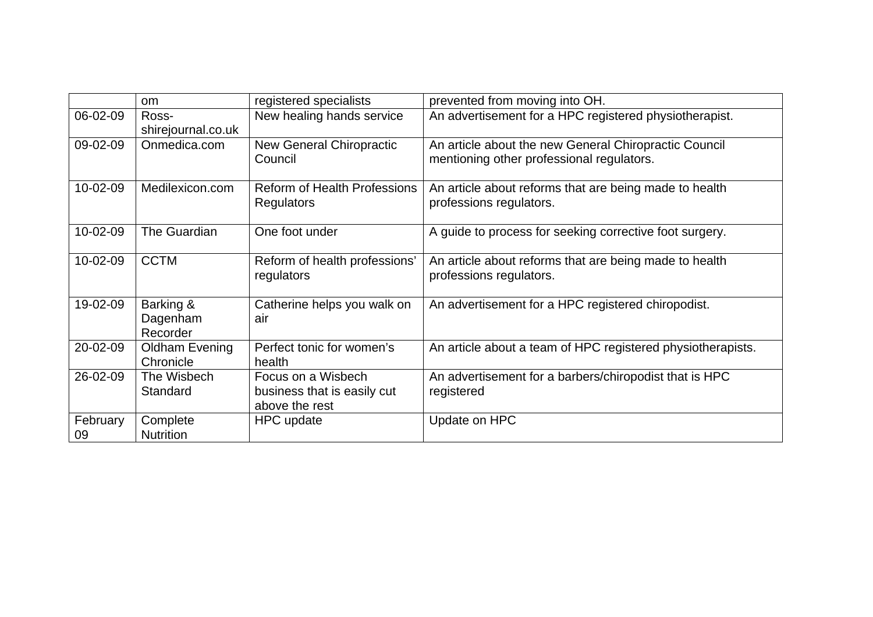|                | <b>om</b>                         | registered specialists                                              | prevented from moving into OH.                                                                     |
|----------------|-----------------------------------|---------------------------------------------------------------------|----------------------------------------------------------------------------------------------------|
| 06-02-09       | Ross-<br>shirejournal.co.uk       | New healing hands service                                           | An advertisement for a HPC registered physiotherapist.                                             |
| 09-02-09       | Onmedica.com                      | <b>New General Chiropractic</b><br>Council                          | An article about the new General Chiropractic Council<br>mentioning other professional regulators. |
| 10-02-09       | Medilexicon.com                   | <b>Reform of Health Professions</b><br><b>Regulators</b>            | An article about reforms that are being made to health<br>professions regulators.                  |
| 10-02-09       | The Guardian                      | One foot under                                                      | A guide to process for seeking corrective foot surgery.                                            |
| 10-02-09       | <b>CCTM</b>                       | Reform of health professions'<br>regulators                         | An article about reforms that are being made to health<br>professions regulators.                  |
| 19-02-09       | Barking &<br>Dagenham<br>Recorder | Catherine helps you walk on<br>air                                  | An advertisement for a HPC registered chiropodist.                                                 |
| 20-02-09       | Oldham Evening<br>Chronicle       | Perfect tonic for women's<br>health                                 | An article about a team of HPC registered physiotherapists.                                        |
| 26-02-09       | The Wisbech<br>Standard           | Focus on a Wisbech<br>business that is easily cut<br>above the rest | An advertisement for a barbers/chiropodist that is HPC<br>registered                               |
| February<br>09 | Complete<br><b>Nutrition</b>      | HPC update                                                          | Update on HPC                                                                                      |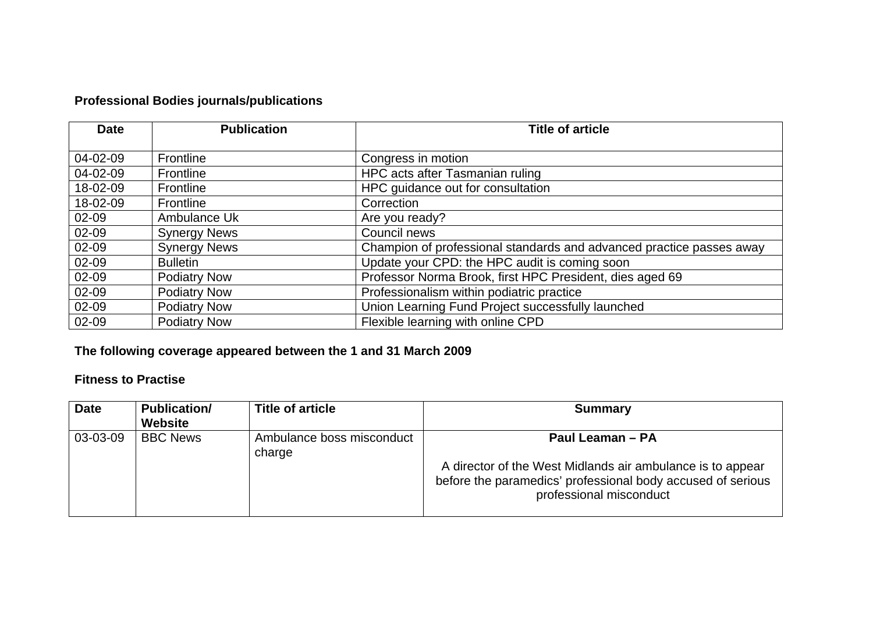### **Professional Bodies journals/publications**

| <b>Date</b> | <b>Publication</b>  | <b>Title of article</b>                                              |
|-------------|---------------------|----------------------------------------------------------------------|
|             |                     |                                                                      |
| 04-02-09    | Frontline           | Congress in motion                                                   |
| 04-02-09    | Frontline           | HPC acts after Tasmanian ruling                                      |
| 18-02-09    | Frontline           | HPC guidance out for consultation                                    |
| 18-02-09    | Frontline           | Correction                                                           |
| 02-09       | Ambulance Uk        | Are you ready?                                                       |
| 02-09       | <b>Synergy News</b> | Council news                                                         |
| 02-09       | <b>Synergy News</b> | Champion of professional standards and advanced practice passes away |
| 02-09       | <b>Bulletin</b>     | Update your CPD: the HPC audit is coming soon                        |
| 02-09       | <b>Podiatry Now</b> | Professor Norma Brook, first HPC President, dies aged 69             |
| 02-09       | <b>Podiatry Now</b> | Professionalism within podiatric practice                            |
| 02-09       | <b>Podiatry Now</b> | Union Learning Fund Project successfully launched                    |
| 02-09       | <b>Podiatry Now</b> | Flexible learning with online CPD                                    |

### **The following coverage appeared between the 1 and 31 March 2009**

#### **Fitness to Practise**

| <b>Date</b> | <b>Publication/</b><br>Website | <b>Title of article</b>             | <b>Summary</b>                                                                                                                                                           |
|-------------|--------------------------------|-------------------------------------|--------------------------------------------------------------------------------------------------------------------------------------------------------------------------|
| 03-03-09    | <b>BBC News</b>                | Ambulance boss misconduct<br>charge | Paul Leaman - PA<br>A director of the West Midlands air ambulance is to appear<br>before the paramedics' professional body accused of serious<br>professional misconduct |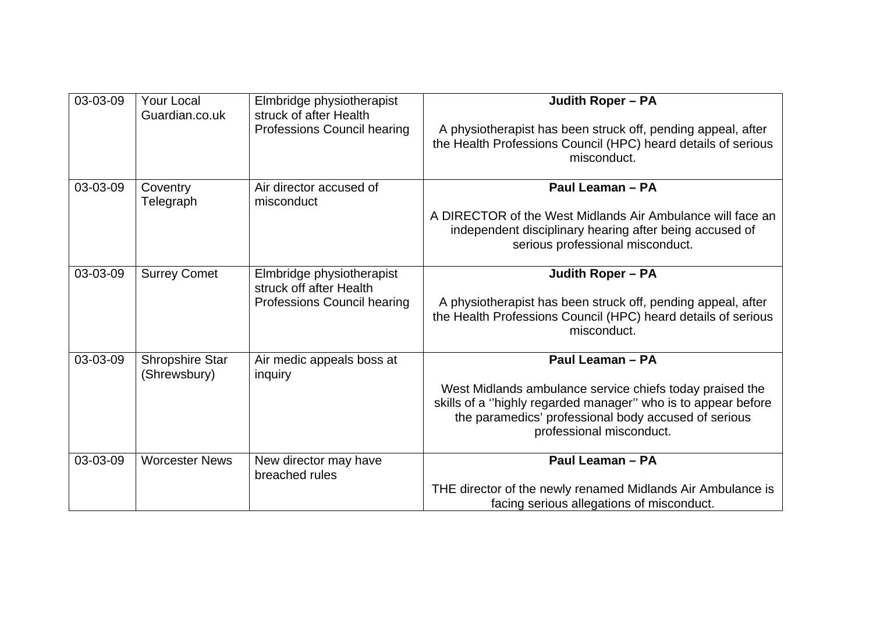| 03-03-09 | <b>Your Local</b><br>Guardian.co.uk    | Elmbridge physiotherapist<br>struck of after Health<br>Professions Council hearing  | <b>Judith Roper - PA</b><br>A physiotherapist has been struck off, pending appeal, after<br>the Health Professions Council (HPC) heard details of serious<br>misconduct.                                                          |
|----------|----------------------------------------|-------------------------------------------------------------------------------------|-----------------------------------------------------------------------------------------------------------------------------------------------------------------------------------------------------------------------------------|
| 03-03-09 | Coventry<br>Telegraph                  | Air director accused of<br>misconduct                                               | Paul Leaman - PA<br>A DIRECTOR of the West Midlands Air Ambulance will face an<br>independent disciplinary hearing after being accused of<br>serious professional misconduct.                                                     |
| 03-03-09 | <b>Surrey Comet</b>                    | Elmbridge physiotherapist<br>struck off after Health<br>Professions Council hearing | <b>Judith Roper - PA</b><br>A physiotherapist has been struck off, pending appeal, after<br>the Health Professions Council (HPC) heard details of serious<br>misconduct.                                                          |
| 03-03-09 | <b>Shropshire Star</b><br>(Shrewsbury) | Air medic appeals boss at<br>inquiry                                                | Paul Leaman - PA<br>West Midlands ambulance service chiefs today praised the<br>skills of a "highly regarded manager" who is to appear before<br>the paramedics' professional body accused of serious<br>professional misconduct. |
| 03-03-09 | <b>Worcester News</b>                  | New director may have<br>breached rules                                             | Paul Leaman - PA<br>THE director of the newly renamed Midlands Air Ambulance is<br>facing serious allegations of misconduct.                                                                                                      |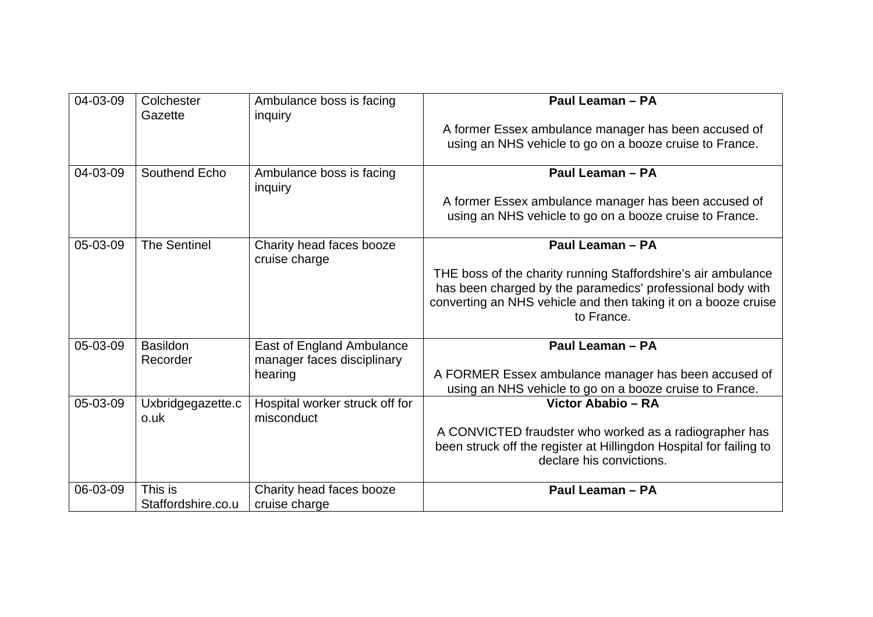| 04-03-09 | Colchester<br>Gazette         | Ambulance boss is facing<br>inquiry                     | Paul Leaman - PA                                                                                                                                                                                            |
|----------|-------------------------------|---------------------------------------------------------|-------------------------------------------------------------------------------------------------------------------------------------------------------------------------------------------------------------|
|          |                               |                                                         | A former Essex ambulance manager has been accused of<br>using an NHS vehicle to go on a booze cruise to France.                                                                                             |
| 04-03-09 | Southend Echo                 | Ambulance boss is facing<br>inquiry                     | Paul Leaman - PA                                                                                                                                                                                            |
|          |                               |                                                         | A former Essex ambulance manager has been accused of<br>using an NHS vehicle to go on a booze cruise to France.                                                                                             |
| 05-03-09 | <b>The Sentinel</b>           | Charity head faces booze<br>cruise charge               | Paul Leaman - PA                                                                                                                                                                                            |
|          |                               |                                                         | THE boss of the charity running Staffordshire's air ambulance<br>has been charged by the paramedics' professional body with<br>converting an NHS vehicle and then taking it on a booze cruise<br>to France. |
| 05-03-09 | <b>Basildon</b><br>Recorder   | East of England Ambulance<br>manager faces disciplinary | Paul Leaman - PA                                                                                                                                                                                            |
|          |                               | hearing                                                 | A FORMER Essex ambulance manager has been accused of<br>using an NHS vehicle to go on a booze cruise to France.                                                                                             |
| 05-03-09 | Uxbridgegazette.c<br>o.uk     | Hospital worker struck off for<br>misconduct            | Victor Ababio - RA                                                                                                                                                                                          |
|          |                               |                                                         | A CONVICTED fraudster who worked as a radiographer has<br>been struck off the register at Hillingdon Hospital for failing to<br>declare his convictions.                                                    |
| 06-03-09 | This is<br>Staffordshire.co.u | Charity head faces booze<br>cruise charge               | Paul Leaman - PA                                                                                                                                                                                            |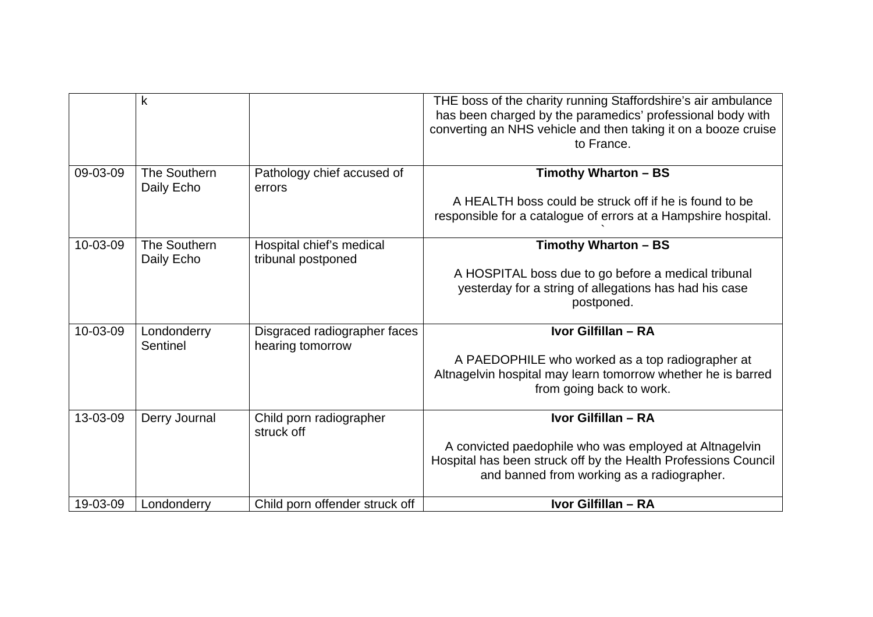|          | k                          |                                                  | THE boss of the charity running Staffordshire's air ambulance<br>has been charged by the paramedics' professional body with<br>converting an NHS vehicle and then taking it on a booze cruise<br>to France. |
|----------|----------------------------|--------------------------------------------------|-------------------------------------------------------------------------------------------------------------------------------------------------------------------------------------------------------------|
| 09-03-09 | The Southern<br>Daily Echo | Pathology chief accused of<br>errors             | Timothy Wharton - BS<br>A HEALTH boss could be struck off if he is found to be<br>responsible for a catalogue of errors at a Hampshire hospital.                                                            |
| 10-03-09 | The Southern<br>Daily Echo | Hospital chief's medical<br>tribunal postponed   | Timothy Wharton - BS<br>A HOSPITAL boss due to go before a medical tribunal<br>yesterday for a string of allegations has had his case<br>postponed.                                                         |
| 10-03-09 | Londonderry<br>Sentinel    | Disgraced radiographer faces<br>hearing tomorrow | Ivor Gilfillan - RA<br>A PAEDOPHILE who worked as a top radiographer at<br>Altnagelvin hospital may learn tomorrow whether he is barred<br>from going back to work.                                         |
| 13-03-09 | Derry Journal              | Child porn radiographer<br>struck off            | Ivor Gilfillan - RA<br>A convicted paedophile who was employed at Altnagelvin<br>Hospital has been struck off by the Health Professions Council<br>and banned from working as a radiographer.               |
| 19-03-09 | Londonderry                | Child porn offender struck off                   | Ivor Gilfillan - RA                                                                                                                                                                                         |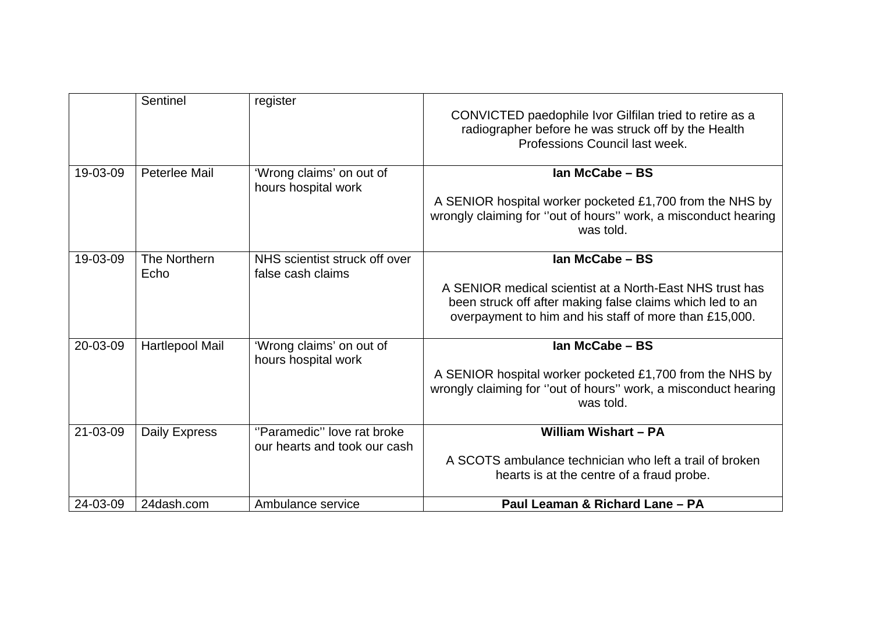|          | Sentinel             | register                                                   | CONVICTED paedophile Ivor Gilfilan tried to retire as a<br>radiographer before he was struck off by the Health<br>Professions Council last week.                                                   |
|----------|----------------------|------------------------------------------------------------|----------------------------------------------------------------------------------------------------------------------------------------------------------------------------------------------------|
| 19-03-09 | Peterlee Mail        | 'Wrong claims' on out of<br>hours hospital work            | Ian McCabe - BS<br>A SENIOR hospital worker pocketed £1,700 from the NHS by<br>wrongly claiming for "out of hours" work, a misconduct hearing<br>was told.                                         |
| 19-03-09 | The Northern<br>Echo | NHS scientist struck off over<br>false cash claims         | Ian McCabe - BS<br>A SENIOR medical scientist at a North-East NHS trust has<br>been struck off after making false claims which led to an<br>overpayment to him and his staff of more than £15,000. |
| 20-03-09 | Hartlepool Mail      | 'Wrong claims' on out of<br>hours hospital work            | Ian McCabe - BS<br>A SENIOR hospital worker pocketed £1,700 from the NHS by<br>wrongly claiming for "out of hours" work, a misconduct hearing<br>was told.                                         |
| 21-03-09 | <b>Daily Express</b> | "Paramedic" love rat broke<br>our hearts and took our cash | William Wishart - PA<br>A SCOTS ambulance technician who left a trail of broken<br>hearts is at the centre of a fraud probe.                                                                       |
| 24-03-09 | 24dash.com           | Ambulance service                                          | Paul Leaman & Richard Lane - PA                                                                                                                                                                    |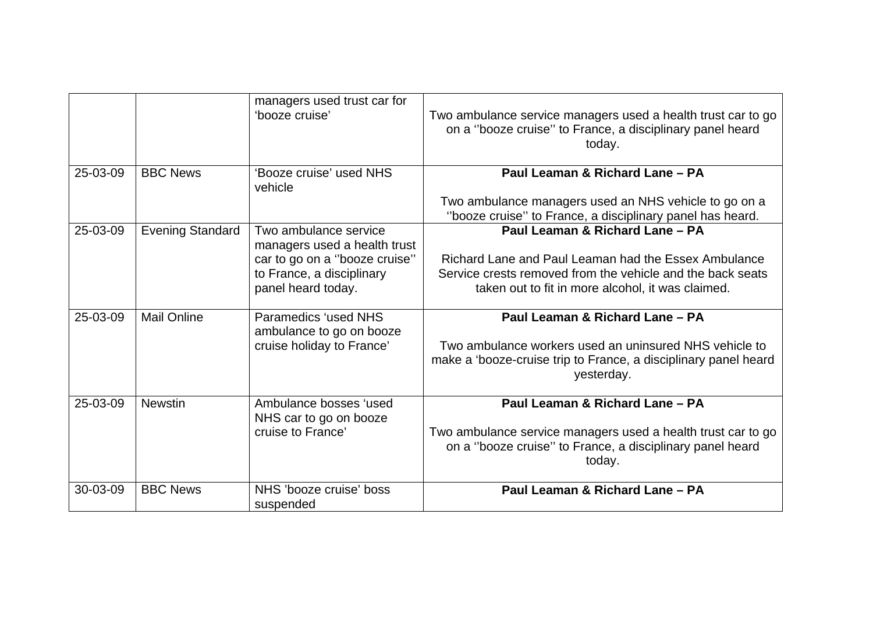|          |                         | managers used trust car for<br>'booze cruise'                                                                                             | Two ambulance service managers used a health trust car to go<br>on a "booze cruise" to France, a disciplinary panel heard<br>today.                                                                        |
|----------|-------------------------|-------------------------------------------------------------------------------------------------------------------------------------------|------------------------------------------------------------------------------------------------------------------------------------------------------------------------------------------------------------|
| 25-03-09 | <b>BBC News</b>         | 'Booze cruise' used NHS<br>vehicle                                                                                                        | Paul Leaman & Richard Lane - PA<br>Two ambulance managers used an NHS vehicle to go on a<br>"booze cruise" to France, a disciplinary panel has heard.                                                      |
| 25-03-09 | <b>Evening Standard</b> | Two ambulance service<br>managers used a health trust<br>car to go on a "booze cruise"<br>to France, a disciplinary<br>panel heard today. | Paul Leaman & Richard Lane - PA<br>Richard Lane and Paul Leaman had the Essex Ambulance<br>Service crests removed from the vehicle and the back seats<br>taken out to fit in more alcohol, it was claimed. |
| 25-03-09 | <b>Mail Online</b>      | <b>Paramedics 'used NHS</b><br>ambulance to go on booze<br>cruise holiday to France'                                                      | Paul Leaman & Richard Lane - PA<br>Two ambulance workers used an uninsured NHS vehicle to<br>make a 'booze-cruise trip to France, a disciplinary panel heard<br>yesterday.                                 |
| 25-03-09 | <b>Newstin</b>          | Ambulance bosses 'used<br>NHS car to go on booze<br>cruise to France'                                                                     | Paul Leaman & Richard Lane - PA<br>Two ambulance service managers used a health trust car to go<br>on a "booze cruise" to France, a disciplinary panel heard<br>today.                                     |
| 30-03-09 | <b>BBC News</b>         | NHS 'booze cruise' boss<br>suspended                                                                                                      | Paul Leaman & Richard Lane - PA                                                                                                                                                                            |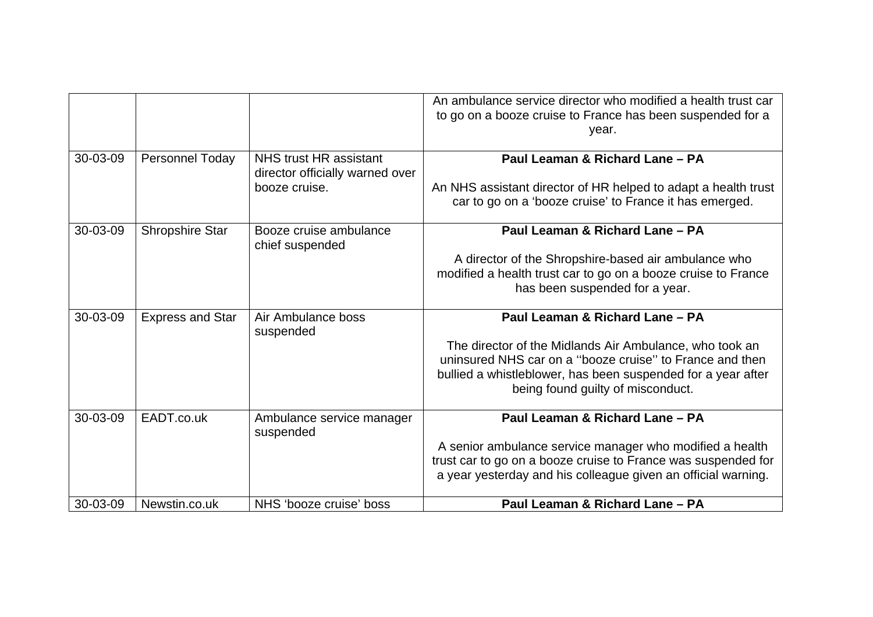|          |                         |                                                  | An ambulance service director who modified a health trust car<br>to go on a booze cruise to France has been suspended for a<br>year. |
|----------|-------------------------|--------------------------------------------------|--------------------------------------------------------------------------------------------------------------------------------------|
| 30-03-09 | Personnel Today         | NHS trust HR assistant                           | Paul Leaman & Richard Lane - PA                                                                                                      |
|          |                         | director officially warned over<br>booze cruise. | An NHS assistant director of HR helped to adapt a health trust                                                                       |
|          |                         |                                                  | car to go on a 'booze cruise' to France it has emerged.                                                                              |
| 30-03-09 | <b>Shropshire Star</b>  | Booze cruise ambulance                           | Paul Leaman & Richard Lane - PA                                                                                                      |
|          |                         | chief suspended                                  |                                                                                                                                      |
|          |                         |                                                  | A director of the Shropshire-based air ambulance who                                                                                 |
|          |                         |                                                  | modified a health trust car to go on a booze cruise to France                                                                        |
|          |                         |                                                  | has been suspended for a year.                                                                                                       |
| 30-03-09 | <b>Express and Star</b> | Air Ambulance boss<br>suspended                  | Paul Leaman & Richard Lane - PA                                                                                                      |
|          |                         |                                                  | The director of the Midlands Air Ambulance, who took an                                                                              |
|          |                         |                                                  | uninsured NHS car on a "booze cruise" to France and then                                                                             |
|          |                         |                                                  | bullied a whistleblower, has been suspended for a year after<br>being found guilty of misconduct.                                    |
|          |                         |                                                  |                                                                                                                                      |
| 30-03-09 | EADT.co.uk              | Ambulance service manager<br>suspended           | Paul Leaman & Richard Lane - PA                                                                                                      |
|          |                         |                                                  | A senior ambulance service manager who modified a health                                                                             |
|          |                         |                                                  | trust car to go on a booze cruise to France was suspended for                                                                        |
|          |                         |                                                  | a year yesterday and his colleague given an official warning.                                                                        |
| 30-03-09 | Newstin.co.uk           | NHS 'booze cruise' boss                          | Paul Leaman & Richard Lane - PA                                                                                                      |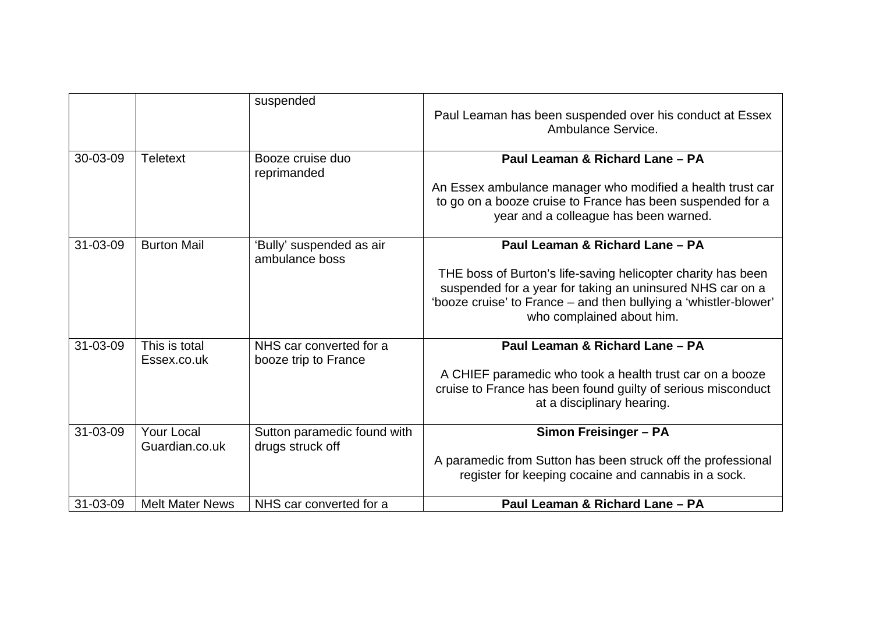|          |                              | suspended                                       | Paul Leaman has been suspended over his conduct at Essex<br>Ambulance Service.                                                                                                                                                                                |
|----------|------------------------------|-------------------------------------------------|---------------------------------------------------------------------------------------------------------------------------------------------------------------------------------------------------------------------------------------------------------------|
| 30-03-09 | <b>Teletext</b>              | Booze cruise duo<br>reprimanded                 | Paul Leaman & Richard Lane - PA<br>An Essex ambulance manager who modified a health trust car<br>to go on a booze cruise to France has been suspended for a<br>year and a colleague has been warned.                                                          |
| 31-03-09 | <b>Burton Mail</b>           | 'Bully' suspended as air<br>ambulance boss      | Paul Leaman & Richard Lane - PA<br>THE boss of Burton's life-saving helicopter charity has been<br>suspended for a year for taking an uninsured NHS car on a<br>'booze cruise' to France - and then bullying a 'whistler-blower'<br>who complained about him. |
| 31-03-09 | This is total<br>Essex.co.uk | NHS car converted for a<br>booze trip to France | Paul Leaman & Richard Lane - PA<br>A CHIEF paramedic who took a health trust car on a booze<br>cruise to France has been found guilty of serious misconduct<br>at a disciplinary hearing.                                                                     |
| 31-03-09 | Your Local<br>Guardian.co.uk | Sutton paramedic found with<br>drugs struck off | <b>Simon Freisinger - PA</b><br>A paramedic from Sutton has been struck off the professional<br>register for keeping cocaine and cannabis in a sock.                                                                                                          |
| 31-03-09 | <b>Melt Mater News</b>       | NHS car converted for a                         | Paul Leaman & Richard Lane - PA                                                                                                                                                                                                                               |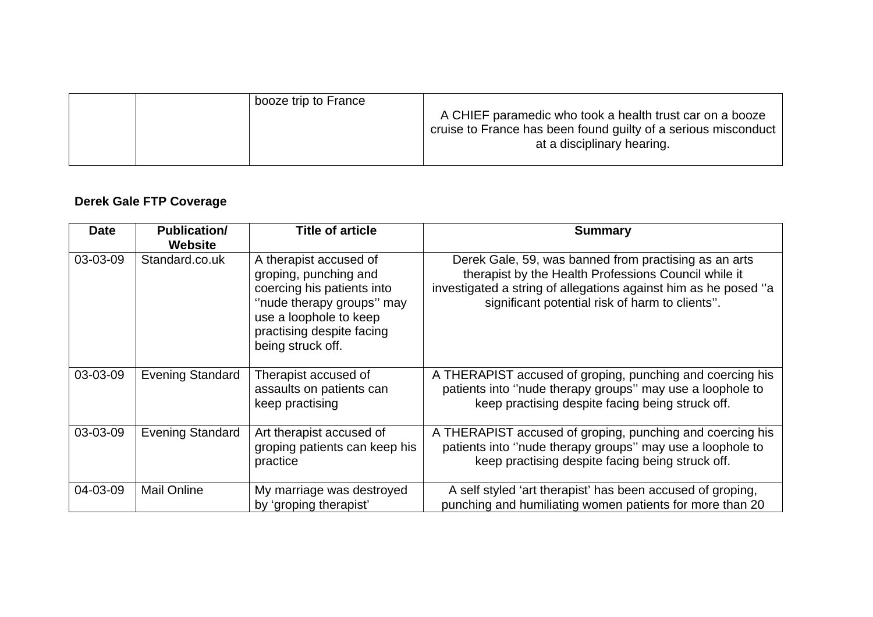| booze trip to France | A CHIEF paramedic who took a health trust car on a booze<br>cruise to France has been found guilty of a serious misconduct<br>at a disciplinary hearing. |
|----------------------|----------------------------------------------------------------------------------------------------------------------------------------------------------|
|----------------------|----------------------------------------------------------------------------------------------------------------------------------------------------------|

### **Derek Gale FTP Coverage**

| <b>Date</b> | <b>Publication/</b><br><b>Website</b> | <b>Title of article</b>                                                                                                                                                                | <b>Summary</b>                                                                                                                                                                                                                      |
|-------------|---------------------------------------|----------------------------------------------------------------------------------------------------------------------------------------------------------------------------------------|-------------------------------------------------------------------------------------------------------------------------------------------------------------------------------------------------------------------------------------|
| 03-03-09    | Standard.co.uk                        | A therapist accused of<br>groping, punching and<br>coercing his patients into<br>"nude therapy groups" may<br>use a loophole to keep<br>practising despite facing<br>being struck off. | Derek Gale, 59, was banned from practising as an arts<br>therapist by the Health Professions Council while it<br>investigated a string of allegations against him as he posed "a<br>significant potential risk of harm to clients". |
| 03-03-09    | <b>Evening Standard</b>               | Therapist accused of<br>assaults on patients can<br>keep practising                                                                                                                    | A THERAPIST accused of groping, punching and coercing his<br>patients into "nude therapy groups" may use a loophole to<br>keep practising despite facing being struck off.                                                          |
| 03-03-09    | <b>Evening Standard</b>               | Art therapist accused of<br>groping patients can keep his<br>practice                                                                                                                  | A THERAPIST accused of groping, punching and coercing his<br>patients into "nude therapy groups" may use a loophole to<br>keep practising despite facing being struck off.                                                          |
| 04-03-09    | <b>Mail Online</b>                    | My marriage was destroyed<br>by 'groping therapist'                                                                                                                                    | A self styled 'art therapist' has been accused of groping,<br>punching and humiliating women patients for more than 20                                                                                                              |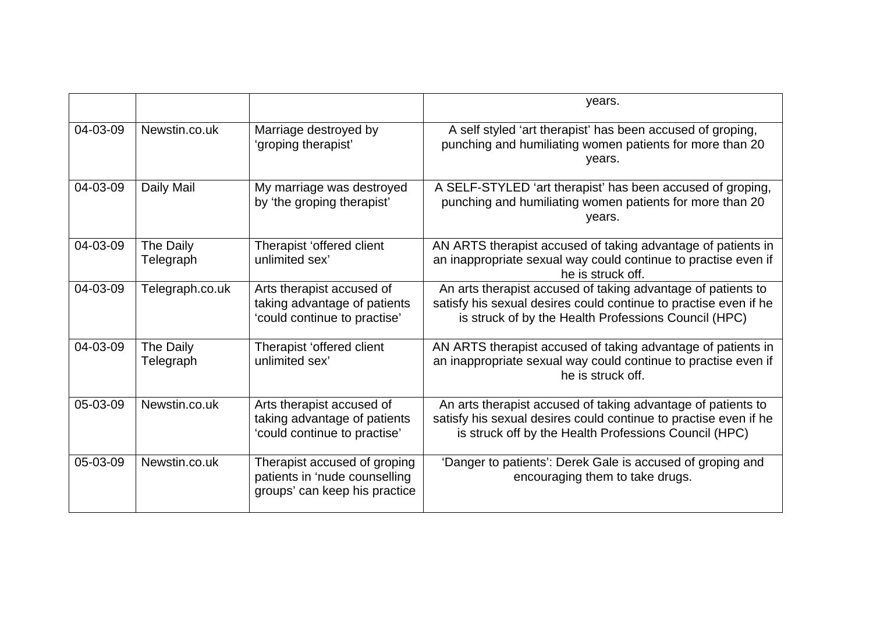|          |                                                                                                            |                                                                                                | years.                                                                                                                                                                                    |
|----------|------------------------------------------------------------------------------------------------------------|------------------------------------------------------------------------------------------------|-------------------------------------------------------------------------------------------------------------------------------------------------------------------------------------------|
| 04-03-09 | Newstin.co.uk                                                                                              | Marriage destroyed by<br>'groping therapist'                                                   | A self styled 'art therapist' has been accused of groping,<br>punching and humiliating women patients for more than 20<br>years.                                                          |
| 04-03-09 | Daily Mail                                                                                                 | My marriage was destroyed<br>by 'the groping therapist'                                        | A SELF-STYLED 'art therapist' has been accused of groping,<br>punching and humiliating women patients for more than 20<br>years.                                                          |
| 04-03-09 | The Daily<br>Telegraph                                                                                     | Therapist 'offered client<br>unlimited sex'                                                    | AN ARTS therapist accused of taking advantage of patients in<br>an inappropriate sexual way could continue to practise even if<br>he is struck off.                                       |
| 04-03-09 | Telegraph.co.uk                                                                                            | Arts therapist accused of<br>taking advantage of patients<br>'could continue to practise'      | An arts therapist accused of taking advantage of patients to<br>satisfy his sexual desires could continue to practise even if he<br>is struck of by the Health Professions Council (HPC)  |
| 04-03-09 | The Daily<br>Telegraph                                                                                     | Therapist 'offered client<br>unlimited sex'                                                    | AN ARTS therapist accused of taking advantage of patients in<br>an inappropriate sexual way could continue to practise even if<br>he is struck off.                                       |
| 05-03-09 | Newstin.co.uk<br>Arts therapist accused of<br>taking advantage of patients<br>'could continue to practise' |                                                                                                | An arts therapist accused of taking advantage of patients to<br>satisfy his sexual desires could continue to practise even if he<br>is struck off by the Health Professions Council (HPC) |
| 05-03-09 | Newstin.co.uk                                                                                              | Therapist accused of groping<br>patients in 'nude counselling<br>groups' can keep his practice | 'Danger to patients': Derek Gale is accused of groping and<br>encouraging them to take drugs.                                                                                             |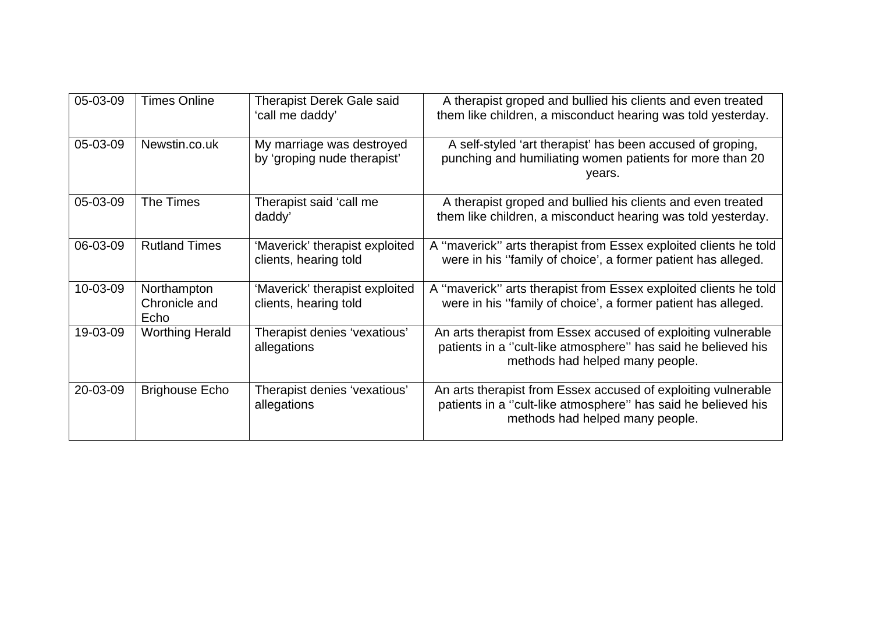| 05-03-09 | <b>Times Online</b>                                                       | <b>Therapist Derek Gale said</b><br>'call me daddy'     | A therapist groped and bullied his clients and even treated<br>them like children, a misconduct hearing was told yesterday.                                       |  |
|----------|---------------------------------------------------------------------------|---------------------------------------------------------|-------------------------------------------------------------------------------------------------------------------------------------------------------------------|--|
| 05-03-09 | Newstin.co.uk<br>My marriage was destroyed<br>by 'groping nude therapist' |                                                         | A self-styled 'art therapist' has been accused of groping,<br>punching and humiliating women patients for more than 20<br>years.                                  |  |
| 05-03-09 | The Times                                                                 | Therapist said 'call me<br>daddy'                       | A therapist groped and bullied his clients and even treated<br>them like children, a misconduct hearing was told yesterday.                                       |  |
| 06-03-09 | <b>Rutland Times</b>                                                      | 'Maverick' therapist exploited<br>clients, hearing told | A "maverick" arts therapist from Essex exploited clients he told<br>were in his "family of choice', a former patient has alleged.                                 |  |
| 10-03-09 | Northampton<br>Chronicle and<br>Echo                                      | 'Maverick' therapist exploited<br>clients, hearing told | A "maverick" arts therapist from Essex exploited clients he told<br>were in his "family of choice', a former patient has alleged.                                 |  |
| 19-03-09 | <b>Worthing Herald</b>                                                    | Therapist denies 'vexatious'<br>allegations             | An arts therapist from Essex accused of exploiting vulnerable<br>patients in a "cult-like atmosphere" has said he believed his<br>methods had helped many people. |  |
| 20-03-09 | <b>Brighouse Echo</b>                                                     | Therapist denies 'vexatious'<br>allegations             | An arts therapist from Essex accused of exploiting vulnerable<br>patients in a "cult-like atmosphere" has said he believed his<br>methods had helped many people. |  |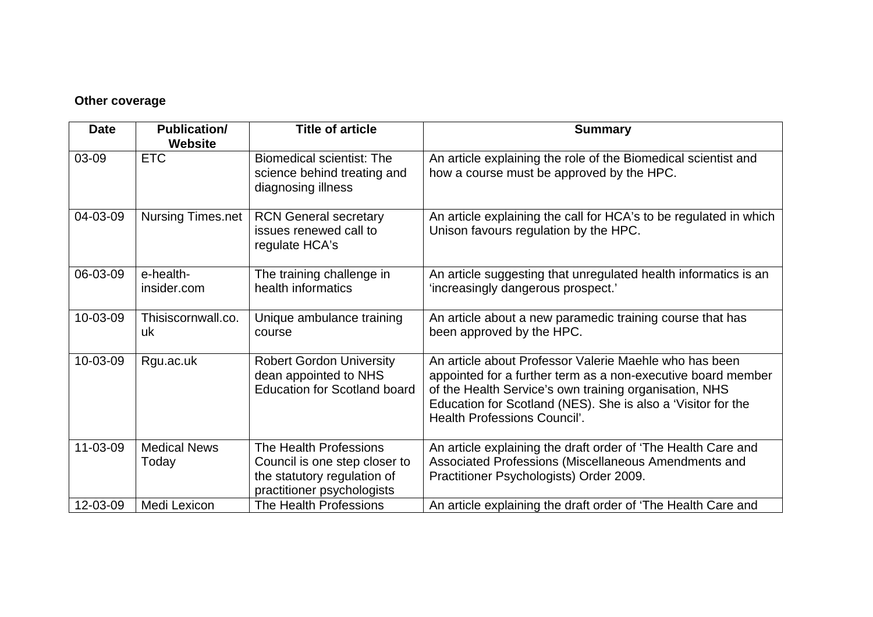#### **Other coverage**

| <b>Date</b> | <b>Publication/</b><br><b>Website</b> | <b>Title of article</b>                                                                                              | <b>Summary</b>                                                                                                                                                                                                                                                                   |
|-------------|---------------------------------------|----------------------------------------------------------------------------------------------------------------------|----------------------------------------------------------------------------------------------------------------------------------------------------------------------------------------------------------------------------------------------------------------------------------|
| 03-09       | <b>ETC</b>                            | <b>Biomedical scientist: The</b><br>science behind treating and<br>diagnosing illness                                | An article explaining the role of the Biomedical scientist and<br>how a course must be approved by the HPC.                                                                                                                                                                      |
| 04-03-09    | Nursing Times.net                     | <b>RCN General secretary</b><br>issues renewed call to<br>regulate HCA's                                             | An article explaining the call for HCA's to be regulated in which<br>Unison favours regulation by the HPC.                                                                                                                                                                       |
| 06-03-09    | e-health-<br>insider.com              | The training challenge in<br>health informatics                                                                      | An article suggesting that unregulated health informatics is an<br>'increasingly dangerous prospect.'                                                                                                                                                                            |
| 10-03-09    | Thisiscornwall.co.<br>uk              | Unique ambulance training<br>course                                                                                  | An article about a new paramedic training course that has<br>been approved by the HPC.                                                                                                                                                                                           |
| 10-03-09    | Rgu.ac.uk                             | <b>Robert Gordon University</b><br>dean appointed to NHS<br><b>Education for Scotland board</b>                      | An article about Professor Valerie Maehle who has been<br>appointed for a further term as a non-executive board member<br>of the Health Service's own training organisation, NHS<br>Education for Scotland (NES). She is also a 'Visitor for the<br>Health Professions Council'. |
| 11-03-09    | <b>Medical News</b><br>Today          | The Health Professions<br>Council is one step closer to<br>the statutory regulation of<br>practitioner psychologists | An article explaining the draft order of 'The Health Care and<br>Associated Professions (Miscellaneous Amendments and<br>Practitioner Psychologists) Order 2009.                                                                                                                 |
| 12-03-09    | Medi Lexicon                          | The Health Professions                                                                                               | An article explaining the draft order of 'The Health Care and                                                                                                                                                                                                                    |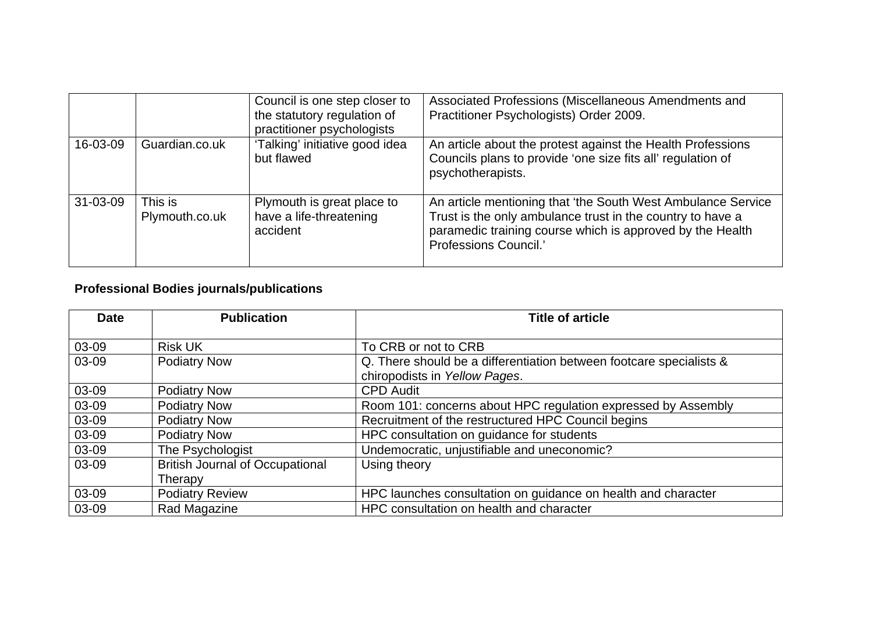|                |                           | Council is one step closer to<br>the statutory regulation of<br>practitioner psychologists | Associated Professions (Miscellaneous Amendments and<br>Practitioner Psychologists) Order 2009.                                                                                                                  |
|----------------|---------------------------|--------------------------------------------------------------------------------------------|------------------------------------------------------------------------------------------------------------------------------------------------------------------------------------------------------------------|
| 16-03-09       | Guardian.co.uk            | 'Talking' initiative good idea<br>but flawed                                               | An article about the protest against the Health Professions<br>Councils plans to provide 'one size fits all' regulation of<br>psychotherapists.                                                                  |
| $31 - 03 - 09$ | This is<br>Plymouth.co.uk | Plymouth is great place to<br>have a life-threatening<br>accident                          | An article mentioning that 'the South West Ambulance Service<br>Trust is the only ambulance trust in the country to have a<br>paramedic training course which is approved by the Health<br>Professions Council.' |

# **Professional Bodies journals/publications**

| <b>Date</b> | <b>Publication</b>                     | <b>Title of article</b>                                             |
|-------------|----------------------------------------|---------------------------------------------------------------------|
|             |                                        |                                                                     |
| 03-09       | <b>Risk UK</b>                         | To CRB or not to CRB                                                |
| 03-09       | <b>Podiatry Now</b>                    | Q. There should be a differentiation between footcare specialists & |
|             |                                        | chiropodists in Yellow Pages.                                       |
| 03-09       | <b>Podiatry Now</b>                    | <b>CPD Audit</b>                                                    |
| 03-09       | <b>Podiatry Now</b>                    | Room 101: concerns about HPC regulation expressed by Assembly       |
| 03-09       | <b>Podiatry Now</b>                    | Recruitment of the restructured HPC Council begins                  |
| 03-09       | <b>Podiatry Now</b>                    | HPC consultation on guidance for students                           |
| 03-09       | The Psychologist                       | Undemocratic, unjustifiable and uneconomic?                         |
| 03-09       | <b>British Journal of Occupational</b> | Using theory                                                        |
|             | Therapy                                |                                                                     |
| 03-09       | <b>Podiatry Review</b>                 | HPC launches consultation on guidance on health and character       |
| 03-09       | Rad Magazine                           | HPC consultation on health and character                            |